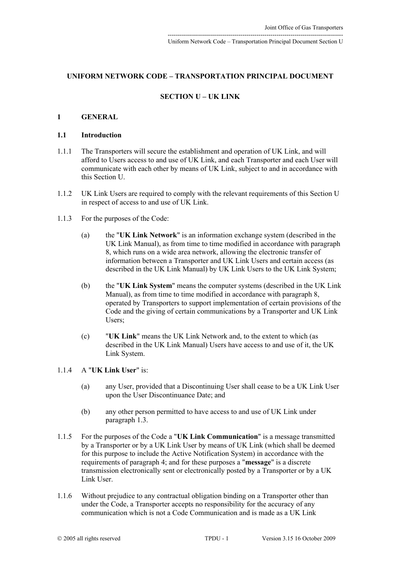## **UNIFORM NETWORK CODE – TRANSPORTATION PRINCIPAL DOCUMENT**

# **SECTION U – UK LINK**

## **1 GENERAL**

#### **1.1 Introduction**

- 1.1.1 The Transporters will secure the establishment and operation of UK Link, and will afford to Users access to and use of UK Link, and each Transporter and each User will communicate with each other by means of UK Link, subject to and in accordance with this Section U.
- 1.1.2 UK Link Users are required to comply with the relevant requirements of this Section U in respect of access to and use of UK Link.
- 1.1.3 For the purposes of the Code:
	- (a) the "**UK Link Network**" is an information exchange system (described in the UK Link Manual), as from time to time modified in accordance with paragraph [8,](#page-29-0) which runs on a wide area network, allowing the electronic transfer of information between a Transporter and UK Link Users and certain access (as described in the UK Link Manual) by UK Link Users to the UK Link System;
	- (b) the "**UK Link System**" means the computer systems (described in the UK Link Manual), as from time to time modified in accordance with paragraph [8,](#page-29-0) operated by Transporters to support implementation of certain provisions of the Code and the giving of certain communications by a Transporter and UK Link Users;
	- (c) "**UK Link**" means the UK Link Network and, to the extent to which (as described in the UK Link Manual) Users have access to and use of it, the UK Link System.
- 1.1.4 A "**UK Link User**" is:
	- (a) any User, provided that a Discontinuing User shall cease to be a UK Link User upon the User Discontinuance Date; and
	- (b) any other person permitted to have access to and use of UK Link under paragraph [1.3.](#page-1-0)
- 1.1.5 For the purposes of the Code a "**UK Link Communication**" is a message transmitted by a Transporter or by a UK Link User by means of UK Link (which shall be deemed for this purpose to include the Active Notification System) in accordance with the requirements of paragraph [4;](#page-14-0) and for these purposes a "**message**" is a discrete transmission electronically sent or electronically posted by a Transporter or by a UK Link User.
- 1.1.6 Without prejudice to any contractual obligation binding on a Transporter other than under the Code, a Transporter accepts no responsibility for the accuracy of any communication which is not a Code Communication and is made as a UK Link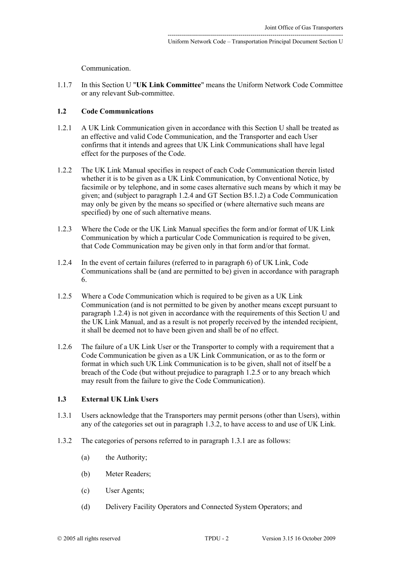Communication.

1.1.7 In this Section U "**UK Link Committee**" means the Uniform Network Code Committee or any relevant Sub-committee.

## <span id="page-1-5"></span>**1.2 Code Communications**

- 1.2.1 A UK Link Communication given in accordance with this Section U shall be treated as an effective and valid Code Communication, and the Transporter and each User confirms that it intends and agrees that UK Link Communications shall have legal effect for the purposes of the Code.
- <span id="page-1-6"></span>1.2.2 The UK Link Manual specifies in respect of each Code Communication therein listed whether it is to be given as a UK Link Communication, by Conventional Notice, by facsimile or by telephone, and in some cases alternative such means by which it may be given; and (subject to paragraph [1.2.4](#page-1-1) and GT Section B5.1.2) a Code Communication may only be given by the means so specified or (where alternative such means are specified) by one of such alternative means.
- 1.2.3 Where the Code or the UK Link Manual specifies the form and/or format of UK Link Communication by which a particular Code Communication is required to be given, that Code Communication may be given only in that form and/or that format.
- <span id="page-1-1"></span>1.2.4 In the event of certain failures (referred to in paragraph [6\)](#page-20-0) of UK Link, Code Communications shall be (and are permitted to be) given in accordance with paragraph [6.](#page-20-0)
- <span id="page-1-2"></span>1.2.5 Where a Code Communication which is required to be given as a UK Link Communication (and is not permitted to be given by another means except pursuant to paragraph [1.2.4\)](#page-1-1) is not given in accordance with the requirements of this Section U and the UK Link Manual, and as a result is not properly received by the intended recipient, it shall be deemed not to have been given and shall be of no effect.
- 1.2.6 The failure of a UK Link User or the Transporter to comply with a requirement that a Code Communication be given as a UK Link Communication, or as to the form or format in which such UK Link Communication is to be given, shall not of itself be a breach of the Code (but without prejudice to paragraph [1.2.5](#page-1-2) or to any breach which may result from the failure to give the Code Communication).

## <span id="page-1-0"></span>**1.3 External UK Link Users**

- <span id="page-1-4"></span>1.3.1 Users acknowledge that the Transporters may permit persons (other than Users), within any of the categories set out in paragraph [1.3.2,](#page-1-3) to have access to and use of UK Link.
- <span id="page-1-3"></span>1.3.2 The categories of persons referred to in paragraph [1.3.1](#page-1-4) are as follows:
	- (a) the Authority;
	- (b) Meter Readers;
	- (c) User Agents;
	- (d) Delivery Facility Operators and Connected System Operators; and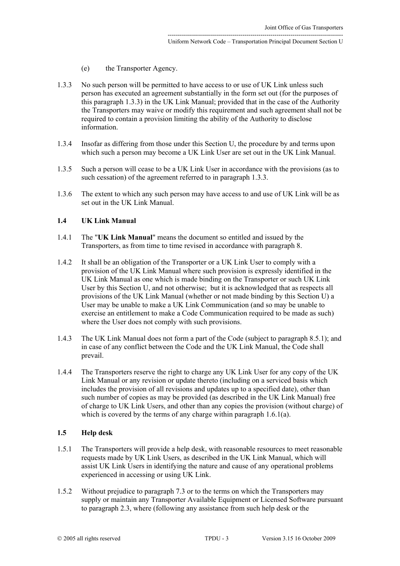- <span id="page-2-0"></span>(e) the Transporter Agency.
- 1.3.3 No such person will be permitted to have access to or use of UK Link unless such person has executed an agreement substantially in the form set out (for the purposes of this paragraph 1.3.3) in the UK Link Manual; provided that in the case of the Authority the Transporters may waive or modify this requirement and such agreement shall not be required to contain a provision limiting the ability of the Authority to disclose information.
- 1.3.4 Insofar as differing from those under this Section U, the procedure by and terms upon which such a person may become a UK Link User are set out in the UK Link Manual.
- 1.3.5 Such a person will cease to be a UK Link User in accordance with the provisions (as to such cessation) of the agreement referred to in paragraph [1.3.3.](#page-2-0)
- 1.3.6 The extent to which any such person may have access to and use of UK Link will be as set out in the UK Link Manual.

#### **1.4 UK Link Manual**

- 1.4.1 The "**UK Link Manual**" means the document so entitled and issued by the Transporters, as from time to time revised in accordance with paragraph [8.](#page-29-0)
- <span id="page-2-3"></span>1.4.2 It shall be an obligation of the Transporter or a UK Link User to comply with a provision of the UK Link Manual where such provision is expressly identified in the UK Link Manual as one which is made binding on the Transporter or such UK Link User by this Section U, and not otherwise; but it is acknowledged that as respects all provisions of the UK Link Manual (whether or not made binding by this Section U) a User may be unable to make a UK Link Communication (and so may be unable to exercise an entitlement to make a Code Communication required to be made as such) where the User does not comply with such provisions.
- 1.4.3 The UK Link Manual does not form a part of the Code (subject to paragraph [8.5.1\)](#page-36-0); and in case of any conflict between the Code and the UK Link Manual, the Code shall prevail.
- <span id="page-2-2"></span>1.4.4 The Transporters reserve the right to charge any UK Link User for any copy of the UK Link Manual or any revision or update thereto (including on a serviced basis which includes the provision of all revisions and updates up to a specified date), other than such number of copies as may be provided (as described in the UK Link Manual) free of charge to UK Link Users, and other than any copies the provision (without charge) of which is covered by the terms of any charge within paragraph [1.6.1\(a\).](#page-3-0)

# **1.5 Help desk**

- <span id="page-2-1"></span>1.5.1 The Transporters will provide a help desk, with reasonable resources to meet reasonable requests made by UK Link Users, as described in the UK Link Manual, which will assist UK Link Users in identifying the nature and cause of any operational problems experienced in accessing or using UK Link.
- 1.5.2 Without prejudice to paragraph [7.3](#page-24-0) or to the terms on which the Transporters may supply or maintain any Transporter Available Equipment or Licensed Software pursuant to paragraph [2.3,](#page-8-0) where (following any assistance from such help desk or the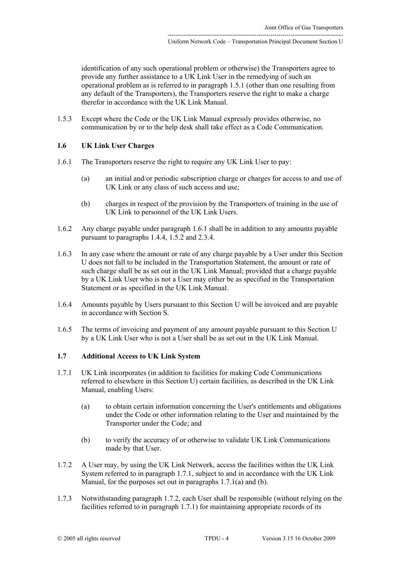identification of any such operational problem or otherwise) the Transporters agree to provide any further assistance to a UK Link User in the remedying of such an operational problem as is referred to in paragraph [1.5.1](#page-2-1) (other than one resulting from any default of the Transporters), the Transporters reserve the right to make a charge therefor in accordance with the UK Link Manual.

1.5.3 Except where the Code or the UK Link Manual expressly provides otherwise, no communication by or to the help desk shall take effect as a Code Communication.

# <span id="page-3-7"></span>**1.6 UK Link User Charges**

- <span id="page-3-1"></span><span id="page-3-0"></span>1.6.1 The Transporters reserve the right to require any UK Link User to pay:
	- (a) an initial and/or periodic subscription charge or charges for access to and use of UK Link or any class of such access and use;
	- (b) charges in respect of the provision by the Transporters of training in the use of UK Link to personnel of the UK Link Users.
- 1.6.2 Any charge payable under paragraph [1.6.1](#page-3-1) shall be in addition to any amounts payable pursuant to paragraphs [1.4.4,](#page-2-2) [1.5.2](#page-3-2) and [2.3.4.](#page-8-1)
- 1.6.3 In any case where the amount or rate of any charge payable by a User under this Section U does not fall to be included in the Transportation Statement, the amount or rate of such charge shall be as set out in the UK Link Manual; provided that a charge payable by a UK Link User who is not a User may either be as specified in the Transportation Statement or as specified in the UK Link Manual.
- 1.6.4 Amounts payable by Users pursuant to this Section U will be invoiced and are payable in accordance with Section S.
- 1.6.5 The terms of invoicing and payment of any amount payable pursuant to this Section U by a UK Link User who is not a User shall be as set out in the UK Link Manual.

# **1.7 Additional Access to UK Link System**

- <span id="page-3-4"></span><span id="page-3-3"></span>1.7.1 UK Link incorporates (in addition to facilities for making Code Communications referred to elsewhere in this Section U) certain facilities, as described in the UK Link Manual, enabling Users:
	- (a) to obtain certain information concerning the User's entitlements and obligations under the Code or other information relating to the User and maintained by the Transporter under the Code; and
	- (b) to verify the accuracy of or otherwise to validate UK Link Communications made by that User.
- <span id="page-3-6"></span><span id="page-3-5"></span>1.7.2 A User may, by using the UK Link Network, access the facilities within the UK Link System referred to in paragraph [1.7.1,](#page-3-3) subject to and in accordance with the UK Link Manual, for the purposes set out in paragraphs [1.7.1\(a\)](#page-3-4) and [\(b\).](#page-3-5)
- <span id="page-3-2"></span>1.7.3 Notwithstanding paragraph [1.7.2,](#page-3-6) each User shall be responsible (without relying on the facilities referred to in paragraph [1.7.1\)](#page-3-3) for maintaining appropriate records of its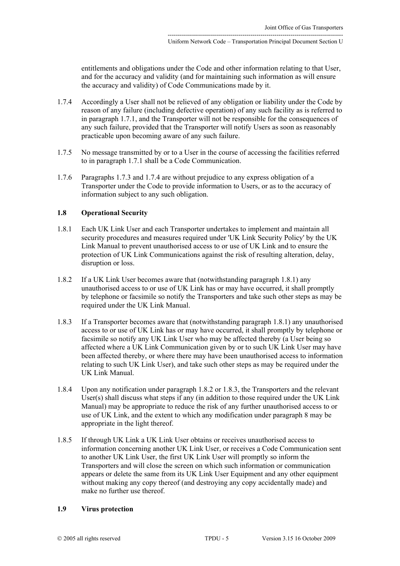entitlements and obligations under the Code and other information relating to that User, and for the accuracy and validity (and for maintaining such information as will ensure the accuracy and validity) of Code Communications made by it.

- <span id="page-4-1"></span>1.7.4 Accordingly a User shall not be relieved of any obligation or liability under the Code by reason of any failure (including defective operation) of any such facility as is referred to in paragraph [1.7.1,](#page-3-3) and the Transporter will not be responsible for the consequences of any such failure, provided that the Transporter will notify Users as soon as reasonably practicable upon becoming aware of any such failure.
- 1.7.5 No message transmitted by or to a User in the course of accessing the facilities referred to in paragraph [1.7.1](#page-3-3) shall be a Code Communication.
- 1.7.6 Paragraphs [1.7.3](#page-4-0) and [1.7.4](#page-4-1) are without prejudice to any express obligation of a Transporter under the Code to provide information to Users, or as to the accuracy of information subject to any such obligation.

### <span id="page-4-5"></span>**1.8 Operational Security**

- <span id="page-4-2"></span>1.8.1 Each UK Link User and each Transporter undertakes to implement and maintain all security procedures and measures required under 'UK Link Security Policy' by the UK Link Manual to prevent unauthorised access to or use of UK Link and to ensure the protection of UK Link Communications against the risk of resulting alteration, delay, disruption or loss.
- <span id="page-4-3"></span>1.8.2 If a UK Link User becomes aware that (notwithstanding paragraph [1.8.1\)](#page-4-2) any unauthorised access to or use of UK Link has or may have occurred, it shall promptly by telephone or facsimile so notify the Transporters and take such other steps as may be required under the UK Link Manual.
- <span id="page-4-4"></span>1.8.3 If a Transporter becomes aware that (notwithstanding paragraph [1.8.1\)](#page-4-2) any unauthorised access to or use of UK Link has or may have occurred, it shall promptly by telephone or facsimile so notify any UK Link User who may be affected thereby (a User being so affected where a UK Link Communication given by or to such UK Link User may have been affected thereby, or where there may have been unauthorised access to information relating to such UK Link User), and take such other steps as may be required under the UK Link Manual.
- 1.8.4 Upon any notification under paragraph [1.8.2](#page-4-3) or [1.8.3,](#page-4-4) the Transporters and the relevant User(s) shall discuss what steps if any (in addition to those required under the UK Link Manual) may be appropriate to reduce the risk of any further unauthorised access to or use of UK Link, and the extent to which any modification under paragraph 8 may be appropriate in the light thereof.
- 1.8.5 If through UK Link a UK Link User obtains or receives unauthorised access to information concerning another UK Link User, or receives a Code Communication sent to another UK Link User, the first UK Link User will promptly so inform the Transporters and will close the screen on which such information or communication appears or delete the same from its UK Link User Equipment and any other equipment without making any copy thereof (and destroying any copy accidentally made) and make no further use thereof.

#### <span id="page-4-6"></span><span id="page-4-0"></span>**1.9 Virus protection**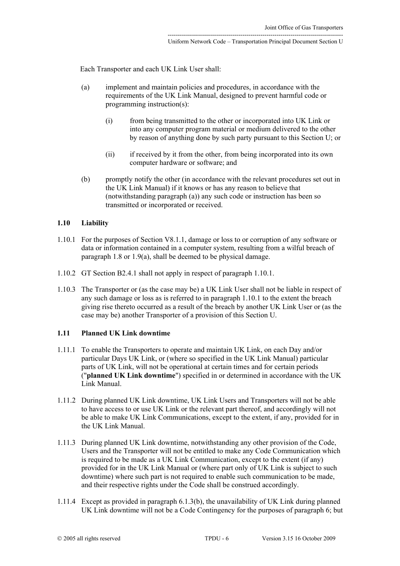Each Transporter and each UK Link User shall:

- <span id="page-5-0"></span>(a) implement and maintain policies and procedures, in accordance with the requirements of the UK Link Manual, designed to prevent harmful code or programming instruction(s):
	- (i) from being transmitted to the other or incorporated into UK Link or into any computer program material or medium delivered to the other by reason of anything done by such party pursuant to this Section U; or
	- (ii) if received by it from the other, from being incorporated into its own computer hardware or software; and
- (b) promptly notify the other (in accordance with the relevant procedures set out in the UK Link Manual) if it knows or has any reason to believe that (notwithstanding paragraph [\(a\)\)](#page-5-0) any such code or instruction has been so transmitted or incorporated or received.

### **1.10 Liability**

- <span id="page-5-1"></span>1.10.1 For the purposes of Section V8.1.1, damage or loss to or corruption of any software or data or information contained in a computer system, resulting from a wilful breach of paragraph [1.8](#page-4-5) or [1.9\(a\),](#page-5-0) shall be deemed to be physical damage.
- 1.10.2 GT Section B2.4.1 shall not apply in respect of paragraph [1.10.1.](#page-5-1)
- 1.10.3 The Transporter or (as the case may be) a UK Link User shall not be liable in respect of any such damage or loss as is referred to in paragraph [1.10.1](#page-5-1) to the extent the breach giving rise thereto occurred as a result of the breach by another UK Link User or (as the case may be) another Transporter of a provision of this Section U.

# **1.11 Planned UK Link downtime**

- 1.11.1 To enable the Transporters to operate and maintain UK Link, on each Day and/or particular Days UK Link, or (where so specified in the UK Link Manual) particular parts of UK Link, will not be operational at certain times and for certain periods ("**planned UK Link downtime**") specified in or determined in accordance with the UK Link Manual.
- 1.11.2 During planned UK Link downtime, UK Link Users and Transporters will not be able to have access to or use UK Link or the relevant part thereof, and accordingly will not be able to make UK Link Communications, except to the extent, if any, provided for in the UK Link Manual.
- 1.11.3 During planned UK Link downtime, notwithstanding any other provision of the Code, Users and the Transporter will not be entitled to make any Code Communication which is required to be made as a UK Link Communication, except to the extent (if any) provided for in the UK Link Manual or (where part only of UK Link is subject to such downtime) where such part is not required to enable such communication to be made, and their respective rights under the Code shall be construed accordingly.
- 1.11.4 Except as provided in paragraph [6.1.3\(b\),](#page-20-1) the unavailability of UK Link during planned UK Link downtime will not be a Code Contingency for the purposes of paragraph [6;](#page-20-0) but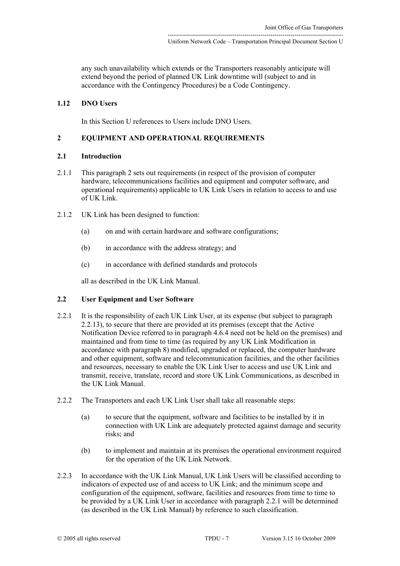any such unavailability which extends or the Transporters reasonably anticipate will extend beyond the period of planned UK Link downtime will (subject to and in accordance with the Contingency Procedures) be a Code Contingency.

# **1.12 DNO Users**

<span id="page-6-2"></span>In this Section U references to Users include DNO Users.

# **2 EQUIPMENT AND OPERATIONAL REQUIREMENTS**

#### **2.1 Introduction**

- 2.1.1 This paragraph 2 sets out requirements (in respect of the provision of computer hardware, telecommunications facilities and equipment and computer software, and operational requirements) applicable to UK Link Users in relation to access to and use of UK Link.
- 2.1.2 UK Link has been designed to function:
	- (a) on and with certain hardware and software configurations;
	- (b) in accordance with the address strategy; and
	- (c) in accordance with defined standards and protocols

<span id="page-6-1"></span>all as described in the UK Link Manual.

#### **2.2 User Equipment and User Software**

- <span id="page-6-0"></span>2.2.1 It is the responsibility of each UK Link User, at its expense (but subject to paragraph [2.2.13\)](#page-8-2), to secure that there are provided at its premises (except that the Active Notification Device referred to in paragraph [4.6.4](#page-17-0) need not be held on the premises) and maintained and from time to time (as required by any UK Link Modification in accordance with paragraph [8\)](#page-29-0) modified, upgraded or replaced, the computer hardware and other equipment, software and telecommunication facilities, and the other facilities and resources, necessary to enable the UK Link User to access and use UK Link and transmit, receive, translate, record and store UK Link Communications, as described in the UK Link Manual.
- 2.2.2 The Transporters and each UK Link User shall take all reasonable steps:
	- (a) to secure that the equipment, software and facilities to be installed by it in connection with UK Link are adequately protected against damage and security risks; and
	- (b) to implement and maintain at its premises the operational environment required for the operation of the UK Link Network.
- 2.2.3 In accordance with the UK Link Manual, UK Link Users will be classified according to indicators of expected use of and access to UK Link; and the minimum scope and configuration of the equipment, software, facilities and resources from time to time to be provided by a UK Link User in accordance with paragraph [2.2.1](#page-6-0) will be determined (as described in the UK Link Manual) by reference to such classification.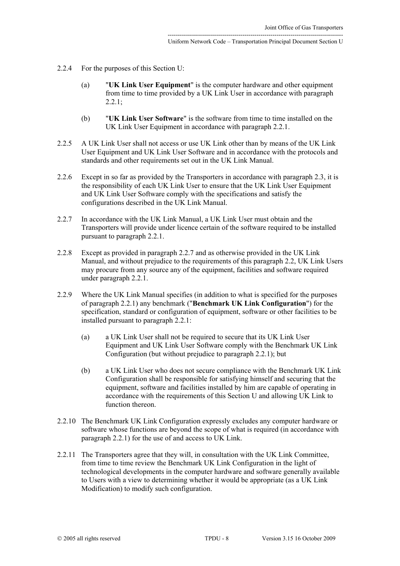- 2.2.4 For the purposes of this Section U:
	- (a) "**UK Link User Equipment**" is the computer hardware and other equipment from time to time provided by a UK Link User in accordance with paragraph  $2.2.1$ :
	- (b) "**UK Link User Software**" is the software from time to time installed on the UK Link User Equipment in accordance with paragraph [2.2.1.](#page-6-0)
- 2.2.5 A UK Link User shall not access or use UK Link other than by means of the UK Link User Equipment and UK Link User Software and in accordance with the protocols and standards and other requirements set out in the UK Link Manual.
- <span id="page-7-1"></span>2.2.6 Except in so far as provided by the Transporters in accordance with paragraph [2.3,](#page-8-0) it is the responsibility of each UK Link User to ensure that the UK Link User Equipment and UK Link User Software comply with the specifications and satisfy the configurations described in the UK Link Manual.
- <span id="page-7-0"></span>2.2.7 In accordance with the UK Link Manual, a UK Link User must obtain and the Transporters will provide under licence certain of the software required to be installed pursuant to paragraph [2.2.1.](#page-6-0)
- 2.2.8 Except as provided in paragraph [2.2.7](#page-7-0) and as otherwise provided in the UK Link Manual, and without prejudice to the requirements of this paragraph [2.2,](#page-6-1) UK Link Users may procure from any source any of the equipment, facilities and software required under paragraph [2.2.1.](#page-6-0)
- <span id="page-7-2"></span>2.2.9 Where the UK Link Manual specifies (in addition to what is specified for the purposes of paragraph [2.2.1\)](#page-6-0) any benchmark ("**Benchmark UK Link Configuration**") for the specification, standard or configuration of equipment, software or other facilities to be installed pursuant to paragraph [2.2.1:](#page-6-0)
	- (a) a UK Link User shall not be required to secure that its UK Link User Equipment and UK Link User Software comply with the Benchmark UK Link Configuration (but without prejudice to paragraph [2.2.1\)](#page-6-0); but
	- (b) a UK Link User who does not secure compliance with the Benchmark UK Link Configuration shall be responsible for satisfying himself and securing that the equipment, software and facilities installed by him are capable of operating in accordance with the requirements of this Section U and allowing UK Link to function thereon.
- 2.2.10 The Benchmark UK Link Configuration expressly excludes any computer hardware or software whose functions are beyond the scope of what is required (in accordance with paragraph [2.2.1\)](#page-6-0) for the use of and access to UK Link.
- 2.2.11 The Transporters agree that they will, in consultation with the UK Link Committee, from time to time review the Benchmark UK Link Configuration in the light of technological developments in the computer hardware and software generally available to Users with a view to determining whether it would be appropriate (as a UK Link Modification) to modify such configuration.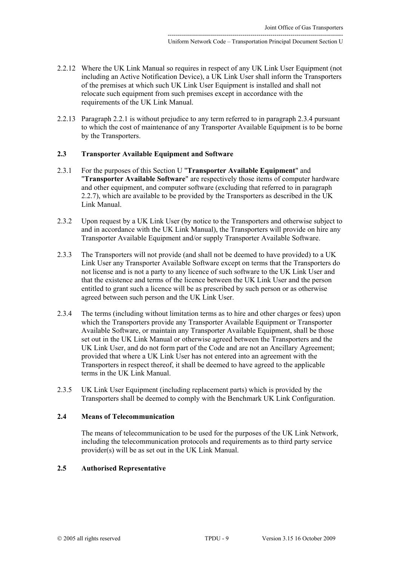- 2.2.12 Where the UK Link Manual so requires in respect of any UK Link User Equipment (not including an Active Notification Device), a UK Link User shall inform the Transporters of the premises at which such UK Link User Equipment is installed and shall not relocate such equipment from such premises except in accordance with the requirements of the UK Link Manual.
- <span id="page-8-2"></span>2.2.13 Paragraph [2.2.1](#page-6-0) is without prejudice to any term referred to in paragraph [2.3.4](#page-8-1) pursuant to which the cost of maintenance of any Transporter Available Equipment is to be borne by the Transporters.

# <span id="page-8-0"></span>**2.3 Transporter Available Equipment and Software**

- 2.3.1 For the purposes of this Section U "**Transporter Available Equipment**" and "**Transporter Available Software**" are respectively those items of computer hardware and other equipment, and computer software (excluding that referred to in paragraph [2.2.7\)](#page-7-0), which are available to be provided by the Transporters as described in the UK Link Manual.
- 2.3.2 Upon request by a UK Link User (by notice to the Transporters and otherwise subject to and in accordance with the UK Link Manual), the Transporters will provide on hire any Transporter Available Equipment and/or supply Transporter Available Software.
- 2.3.3 The Transporters will not provide (and shall not be deemed to have provided) to a UK Link User any Transporter Available Software except on terms that the Transporters do not license and is not a party to any licence of such software to the UK Link User and that the existence and terms of the licence between the UK Link User and the person entitled to grant such a licence will be as prescribed by such person or as otherwise agreed between such person and the UK Link User.
- <span id="page-8-1"></span>2.3.4 The terms (including without limitation terms as to hire and other charges or fees) upon which the Transporters provide any Transporter Available Equipment or Transporter Available Software, or maintain any Transporter Available Equipment, shall be those set out in the UK Link Manual or otherwise agreed between the Transporters and the UK Link User, and do not form part of the Code and are not an Ancillary Agreement; provided that where a UK Link User has not entered into an agreement with the Transporters in respect thereof, it shall be deemed to have agreed to the applicable terms in the UK Link Manual.
- 2.3.5 UK Link User Equipment (including replacement parts) which is provided by the Transporters shall be deemed to comply with the Benchmark UK Link Configuration.

## **2.4 Means of Telecommunication**

<span id="page-8-3"></span>The means of telecommunication to be used for the purposes of the UK Link Network, including the telecommunication protocols and requirements as to third party service provider(s) will be as set out in the UK Link Manual.

# **2.5 Authorised Representative**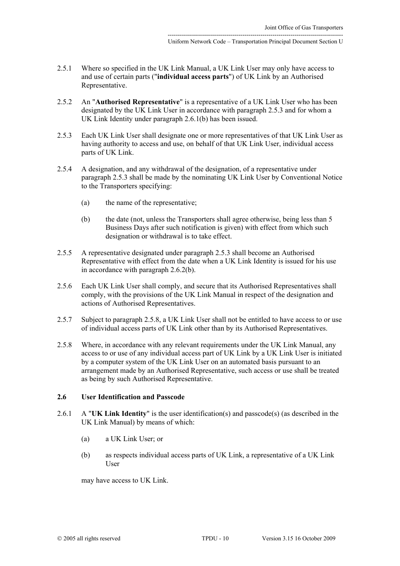- 2.5.1 Where so specified in the UK Link Manual, a UK Link User may only have access to and use of certain parts ("**individual access parts**") of UK Link by an Authorised Representative.
- 2.5.2 An "**Authorised Representative**" is a representative of a UK Link User who has been designated by the UK Link User in accordance with paragraph [2.5.3](#page-9-0) and for whom a UK Link Identity under paragraph [2.6.1\(b\)](#page-9-1) has been issued.
- <span id="page-9-0"></span>2.5.3 Each UK Link User shall designate one or more representatives of that UK Link User as having authority to access and use, on behalf of that UK Link User, individual access parts of UK Link.
- <span id="page-9-4"></span>2.5.4 A designation, and any withdrawal of the designation, of a representative under paragraph [2.5.3](#page-9-0) shall be made by the nominating UK Link User by Conventional Notice to the Transporters specifying:
	- (a) the name of the representative;
	- (b) the date (not, unless the Transporters shall agree otherwise, being less than 5 Business Days after such notification is given) with effect from which such designation or withdrawal is to take effect.
- 2.5.5 A representative designated under paragraph [2.5.3](#page-9-0) shall become an Authorised Representative with effect from the date when a UK Link Identity is issued for his use in accordance with paragraph [2.6.2\(b\).](#page-10-0)
- 2.5.6 Each UK Link User shall comply, and secure that its Authorised Representatives shall comply, with the provisions of the UK Link Manual in respect of the designation and actions of Authorised Representatives.
- 2.5.7 Subject to paragraph [2.5.8,](#page-9-2) a UK Link User shall not be entitled to have access to or use of individual access parts of UK Link other than by its Authorised Representatives.
- <span id="page-9-2"></span>2.5.8 Where, in accordance with any relevant requirements under the UK Link Manual, any access to or use of any individual access part of UK Link by a UK Link User is initiated by a computer system of the UK Link User on an automated basis pursuant to an arrangement made by an Authorised Representative, such access or use shall be treated as being by such Authorised Representative.

## **2.6 User Identification and Passcode**

- 2.6.1 A "**UK Link Identity**" is the user identification(s) and passcode(s) (as described in the UK Link Manual) by means of which:
	- (a) a UK Link User; or
	- (b) as respects individual access parts of UK Link, a representative of a UK Link User

<span id="page-9-3"></span><span id="page-9-1"></span>may have access to UK Link.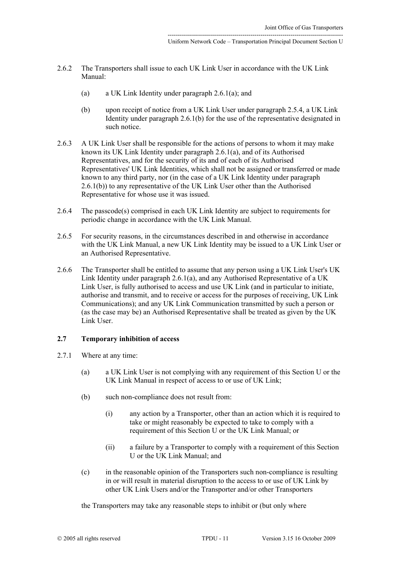- 2.6.2 The Transporters shall issue to each UK Link User in accordance with the UK Link Manual:
	- (a) a UK Link Identity under paragraph [2.6.1\(a\);](#page-9-3) and
	- (b) upon receipt of notice from a UK Link User under paragraph [2.5.4,](#page-9-4) a UK Link Identity under paragraph [2.6.1\(b\)](#page-9-1) for the use of the representative designated in such notice.
- <span id="page-10-0"></span>2.6.3 A UK Link User shall be responsible for the actions of persons to whom it may make known its UK Link Identity under paragraph [2.6.1\(a\),](#page-9-3) and of its Authorised Representatives, and for the security of its and of each of its Authorised Representatives' UK Link Identities, which shall not be assigned or transferred or made known to any third party, nor (in the case of a UK Link Identity under paragraph [2.6.1\(b\)\)](#page-9-1) to any representative of the UK Link User other than the Authorised Representative for whose use it was issued.
- 2.6.4 The passcode(s) comprised in each UK Link Identity are subject to requirements for periodic change in accordance with the UK Link Manual.
- 2.6.5 For security reasons, in the circumstances described in and otherwise in accordance with the UK Link Manual, a new UK Link Identity may be issued to a UK Link User or an Authorised Representative.
- 2.6.6 The Transporter shall be entitled to assume that any person using a UK Link User's UK Link Identity under paragraph [2.6.1\(a\),](#page-9-3) and any Authorised Representative of a UK Link User, is fully authorised to access and use UK Link (and in particular to initiate, authorise and transmit, and to receive or access for the purposes of receiving, UK Link Communications); and any UK Link Communication transmitted by such a person or (as the case may be) an Authorised Representative shall be treated as given by the UK Link User.

### **2.7 Temporary inhibition of access**

- <span id="page-10-1"></span>2.7.1 Where at any time:
	- (a) a UK Link User is not complying with any requirement of this Section U or the UK Link Manual in respect of access to or use of UK Link;
	- (b) such non-compliance does not result from:
		- (i) any action by a Transporter, other than an action which it is required to take or might reasonably be expected to take to comply with a requirement of this Section U or the UK Link Manual; or
		- (ii) a failure by a Transporter to comply with a requirement of this Section U or the UK Link Manual; and
	- (c) in the reasonable opinion of the Transporters such non-compliance is resulting in or will result in material disruption to the access to or use of UK Link by other UK Link Users and/or the Transporter and/or other Transporters

<span id="page-10-2"></span>the Transporters may take any reasonable steps to inhibit or (but only where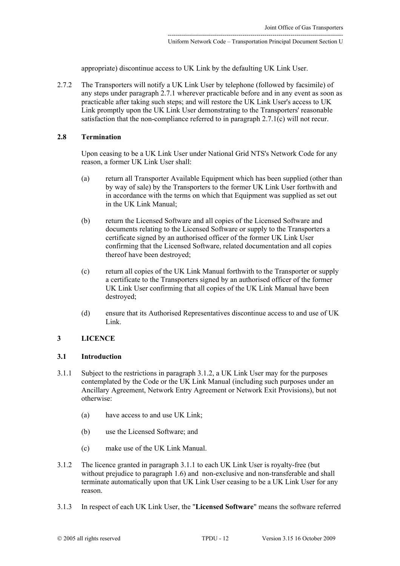appropriate) discontinue access to UK Link by the defaulting UK Link User.

2.7.2 The Transporters will notify a UK Link User by telephone (followed by facsimile) of any steps under paragraph [2.7.1](#page-10-1) wherever practicable before and in any event as soon as practicable after taking such steps; and will restore the UK Link User's access to UK Link promptly upon the UK Link User demonstrating to the Transporters' reasonable satisfaction that the non-compliance referred to in paragraph [2.7.1\(c\) w](#page-10-2)ill not recur.

## **2.8 Termination**

Upon ceasing to be a UK Link User under National Grid NTS's Network Code for any reason, a former UK Link User shall:

- (a) return all Transporter Available Equipment which has been supplied (other than by way of sale) by the Transporters to the former UK Link User forthwith and in accordance with the terms on which that Equipment was supplied as set out in the UK Link Manual;
- (b) return the Licensed Software and all copies of the Licensed Software and documents relating to the Licensed Software or supply to the Transporters a certificate signed by an authorised officer of the former UK Link User confirming that the Licensed Software, related documentation and all copies thereof have been destroyed;
- (c) return all copies of the UK Link Manual forthwith to the Transporter or supply a certificate to the Transporters signed by an authorised officer of the former UK Link User confirming that all copies of the UK Link Manual have been destroyed;
- (d) ensure that its Authorised Representatives discontinue access to and use of UK Link.

# **3 LICENCE**

#### <span id="page-11-2"></span>**3.1 Introduction**

- <span id="page-11-1"></span>3.1.1 Subject to the restrictions in paragraph [3.1.2,](#page-11-0) a UK Link User may for the purposes contemplated by the Code or the UK Link Manual (including such purposes under an Ancillary Agreement, Network Entry Agreement or Network Exit Provisions), but not otherwise:
	- (a) have access to and use UK Link;
	- (b) use the Licensed Software; and
	- (c) make use of the UK Link Manual.
- <span id="page-11-0"></span>3.1.2 The licence granted in paragraph [3.1.1](#page-11-1) to each UK Link User is royalty-free (but without prejudice to paragraph [1.6\)](#page-3-7) and non-exclusive and non-transferable and shall terminate automatically upon that UK Link User ceasing to be a UK Link User for any reason.
- 3.1.3 In respect of each UK Link User, the "**Licensed Software**" means the software referred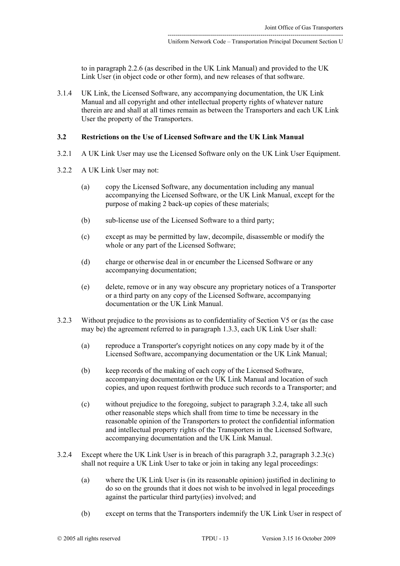to in paragraph [2.2.6](#page-7-1) (as described in the UK Link Manual) and provided to the UK Link User (in object code or other form), and new releases of that software.

3.1.4 UK Link, the Licensed Software, any accompanying documentation, the UK Link Manual and all copyright and other intellectual property rights of whatever nature therein are and shall at all times remain as between the Transporters and each UK Link User the property of the Transporters.

## <span id="page-12-1"></span>**3.2 Restrictions on the Use of Licensed Software and the UK Link Manual**

- 3.2.1 A UK Link User may use the Licensed Software only on the UK Link User Equipment.
- 3.2.2 A UK Link User may not:
	- (a) copy the Licensed Software, any documentation including any manual accompanying the Licensed Software, or the UK Link Manual, except for the purpose of making 2 back-up copies of these materials;
	- (b) sub-license use of the Licensed Software to a third party;
	- (c) except as may be permitted by law, decompile, disassemble or modify the whole or any part of the Licensed Software;
	- (d) charge or otherwise deal in or encumber the Licensed Software or any accompanying documentation;
	- (e) delete, remove or in any way obscure any proprietary notices of a Transporter or a third party on any copy of the Licensed Software, accompanying documentation or the UK Link Manual.
- 3.2.3 Without prejudice to the provisions as to confidentiality of Section V5 or (as the case may be) the agreement referred to in paragraph [1.3.3,](#page-2-0) each UK Link User shall:
	- (a) reproduce a Transporter's copyright notices on any copy made by it of the Licensed Software, accompanying documentation or the UK Link Manual;
	- (b) keep records of the making of each copy of the Licensed Software, accompanying documentation or the UK Link Manual and location of such copies, and upon request forthwith produce such records to a Transporter; and
	- (c) without prejudice to the foregoing, subject to paragraph [3.2.4,](#page-12-0) take all such other reasonable steps which shall from time to time be necessary in the reasonable opinion of the Transporters to protect the confidential information and intellectual property rights of the Transporters in the Licensed Software, accompanying documentation and the UK Link Manual.
- <span id="page-12-2"></span><span id="page-12-0"></span>3.2.4 Except where the UK Link User is in breach of this paragraph [3.2,](#page-12-1) paragraph [3.2.3\(c\)](#page-12-2)  shall not require a UK Link User to take or join in taking any legal proceedings:
	- (a) where the UK Link User is (in its reasonable opinion) justified in declining to do so on the grounds that it does not wish to be involved in legal proceedings against the particular third party(ies) involved; and
	- (b) except on terms that the Transporters indemnify the UK Link User in respect of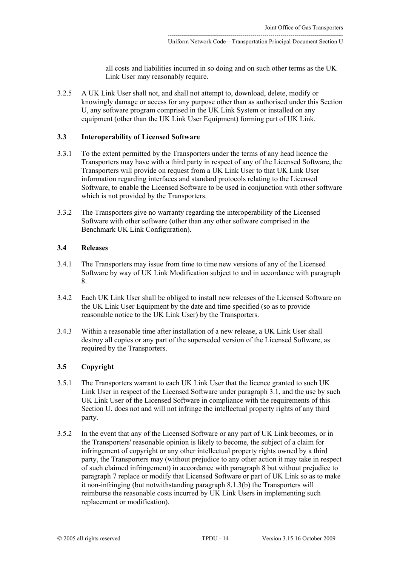all costs and liabilities incurred in so doing and on such other terms as the UK Link User may reasonably require.

3.2.5 A UK Link User shall not, and shall not attempt to, download, delete, modify or knowingly damage or access for any purpose other than as authorised under this Section U, any software program comprised in the UK Link System or installed on any equipment (other than the UK Link User Equipment) forming part of UK Link.

#### **3.3 Interoperability of Licensed Software**

- 3.3.1 To the extent permitted by the Transporters under the terms of any head licence the Transporters may have with a third party in respect of any of the Licensed Software, the Transporters will provide on request from a UK Link User to that UK Link User information regarding interfaces and standard protocols relating to the Licensed Software, to enable the Licensed Software to be used in conjunction with other software which is not provided by the Transporters.
- 3.3.2 The Transporters give no warranty regarding the interoperability of the Licensed Software with other software (other than any other software comprised in the Benchmark UK Link Configuration).

## **3.4 Releases**

- 3.4.1 The Transporters may issue from time to time new versions of any of the Licensed Software by way of UK Link Modification subject to and in accordance with paragraph [8.](#page-29-0)
- 3.4.2 Each UK Link User shall be obliged to install new releases of the Licensed Software on the UK Link User Equipment by the date and time specified (so as to provide reasonable notice to the UK Link User) by the Transporters.
- 3.4.3 Within a reasonable time after installation of a new release, a UK Link User shall destroy all copies or any part of the superseded version of the Licensed Software, as required by the Transporters.

# <span id="page-13-0"></span>**3.5 Copyright**

- 3.5.1 The Transporters warrant to each UK Link User that the licence granted to such UK Link User in respect of the Licensed Software under paragraph [3.1,](#page-11-2) and the use by such UK Link User of the Licensed Software in compliance with the requirements of this Section U, does not and will not infringe the intellectual property rights of any third party.
- <span id="page-13-1"></span>3.5.2 In the event that any of the Licensed Software or any part of UK Link becomes, or in the Transporters' reasonable opinion is likely to become, the subject of a claim for infringement of copyright or any other intellectual property rights owned by a third party, the Transporters may (without prejudice to any other action it may take in respect of such claimed infringement) in accordance with paragraph [8](#page-29-0) but without prejudice to paragraph [7](#page-22-0) replace or modify that Licensed Software or part of UK Link so as to make it non-infringing (but notwithstanding paragraph [8.1.3\(b\)](#page-30-0) the Transporters will reimburse the reasonable costs incurred by UK Link Users in implementing such replacement or modification).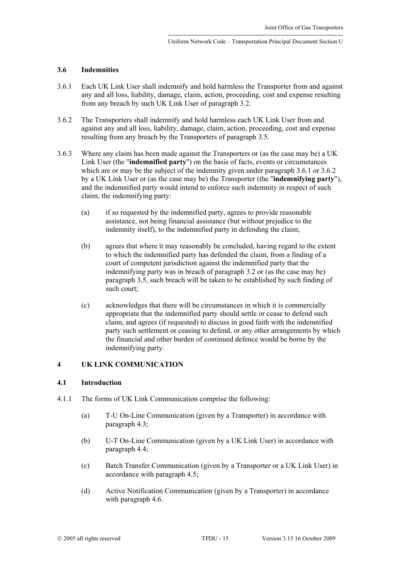#### **3.6 Indemnities**

- <span id="page-14-1"></span>3.6.1 Each UK Link User shall indemnify and hold harmless the Transporter from and against any and all loss, liability, damage, claim, action, proceeding, cost and expense resulting from any breach by such UK Link User of paragraph [3.2.](#page-12-1)
- <span id="page-14-2"></span>3.6.2 The Transporters shall indemnify and hold harmless each UK Link User from and against any and all loss, liability, damage, claim, action, proceeding, cost and expense resulting from any breach by the Transporters of paragraph [3.5.](#page-13-0)
- 3.6.3 Where any claim has been made against the Transporters or (as the case may be) a UK Link User (the "**indemnified party**") on the basis of facts, events or circumstances which are or may be the subject of the indemnity given under paragraph [3.6.1](#page-14-1) or [3.6.2](#page-14-2) by a UK Link User or (as the case may be) the Transporter (the "**indemnifying party**"), and the indemnified party would intend to enforce such indemnity in respect of such claim, the indemnifying party:
	- (a) if so requested by the indemnified party, agrees to provide reasonable assistance, not being financial assistance (but without prejudice to the indemnity itself), to the indemnified party in defending the claim;
	- (b) agrees that where it may reasonably be concluded, having regard to the extent to which the indemnified party has defended the claim, from a finding of a court of competent jurisdiction against the indemnified party that the indemnifying party was in breach of paragraph [3.2](#page-12-1) or (as the case may be) paragraph [3.5,](#page-13-0) such breach will be taken to be established by such finding of such court;
	- (c) acknowledges that there will be circumstances in which it is commercially appropriate that the indemnified party should settle or cease to defend such claim, and agrees (if requested) to discuss in good faith with the indemnified party such settlement or ceasing to defend, or any other arrangements by which the financial and other burden of continued defence would be borne by the indemnifying party.

# <span id="page-14-0"></span>**4 UK LINK COMMUNICATION**

#### **4.1 Introduction**

- 4.1.1 The forms of UK Link Communication comprise the following:
	- (a) T-U On-Line Communication (given by a Transporter) in accordance with paragraph [4.3;](#page-15-0)
	- (b) U-T On-Line Communication (given by a UK Link User) in accordance with paragraph [4.4;](#page-15-1)
	- (c) Batch Transfer Communication (given by a Transporter or a UK Link User) in accordance with paragraph [4.5;](#page-16-0)
	- (d) Active Notification Communication (given by a Transporter) in accordance with paragraph [4.6.](#page-17-1)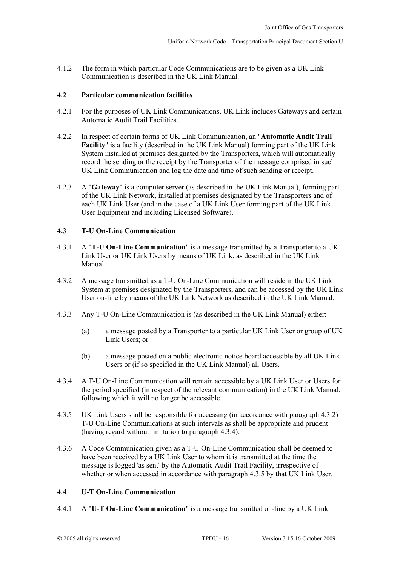<span id="page-15-7"></span>4.1.2 The form in which particular Code Communications are to be given as a UK Link Communication is described in the UK Link Manual.

#### **4.2 Particular communication facilities**

- 4.2.1 For the purposes of UK Link Communications, UK Link includes Gateways and certain Automatic Audit Trail Facilities.
- 4.2.2 In respect of certain forms of UK Link Communication, an "**Automatic Audit Trail Facility**" is a facility (described in the UK Link Manual) forming part of the UK Link System installed at premises designated by the Transporters, which will automatically record the sending or the receipt by the Transporter of the message comprised in such UK Link Communication and log the date and time of such sending or receipt.
- 4.2.3 A "**Gateway**" is a computer server (as described in the UK Link Manual), forming part of the UK Link Network, installed at premises designated by the Transporters and of each UK Link User (and in the case of a UK Link User forming part of the UK Link User Equipment and including Licensed Software).

# <span id="page-15-0"></span>**4.3 T-U On-Line Communication**

- 4.3.1 A "**T-U On-Line Communication**" is a message transmitted by a Transporter to a UK Link User or UK Link Users by means of UK Link, as described in the UK Link Manual.
- <span id="page-15-2"></span>4.3.2 A message transmitted as a T-U On-Line Communication will reside in the UK Link System at premises designated by the Transporters, and can be accessed by the UK Link User on-line by means of the UK Link Network as described in the UK Link Manual.
- 4.3.3 Any T-U On-Line Communication is (as described in the UK Link Manual) either:
	- (a) a message posted by a Transporter to a particular UK Link User or group of UK Link Users; or
	- (b) a message posted on a public electronic notice board accessible by all UK Link Users or (if so specified in the UK Link Manual) all Users.
- <span id="page-15-6"></span><span id="page-15-3"></span>4.3.4 A T-U On-Line Communication will remain accessible by a UK Link User or Users for the period specified (in respect of the relevant communication) in the UK Link Manual, following which it will no longer be accessible.
- <span id="page-15-4"></span>4.3.5 UK Link Users shall be responsible for accessing (in accordance with paragraph [4.3.2\)](#page-15-2) T-U On-Line Communications at such intervals as shall be appropriate and prudent (having regard without limitation to paragraph [4.3.4\)](#page-15-3).
- <span id="page-15-5"></span>4.3.6 A Code Communication given as a T-U On-Line Communication shall be deemed to have been received by a UK Link User to whom it is transmitted at the time the message is logged 'as sent' by the Automatic Audit Trail Facility, irrespective of whether or when accessed in accordance with paragraph [4.3.5](#page-15-4) by that UK Link User.

## <span id="page-15-1"></span>**4.4 U-T On-Line Communication**

4.4.1 A "**U-T On-Line Communication**" is a message transmitted on-line by a UK Link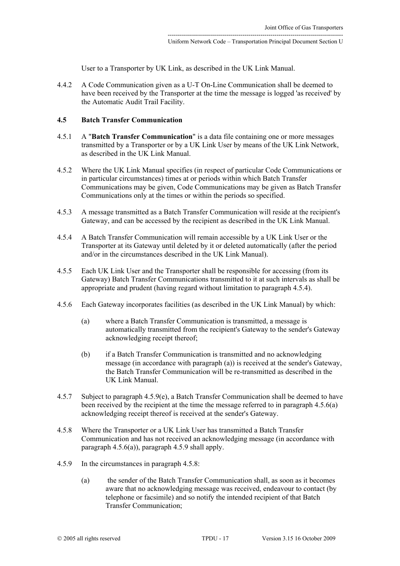<span id="page-16-5"></span>User to a Transporter by UK Link, as described in the UK Link Manual.

4.4.2 A Code Communication given as a U-T On-Line Communication shall be deemed to have been received by the Transporter at the time the message is logged 'as received' by the Automatic Audit Trail Facility.

## <span id="page-16-0"></span>**4.5 Batch Transfer Communication**

- 4.5.1 A "**Batch Transfer Communication**" is a data file containing one or more messages transmitted by a Transporter or by a UK Link User by means of the UK Link Network, as described in the UK Link Manual.
- 4.5.2 Where the UK Link Manual specifies (in respect of particular Code Communications or in particular circumstances) times at or periods within which Batch Transfer Communications may be given, Code Communications may be given as Batch Transfer Communications only at the times or within the periods so specified.
- 4.5.3 A message transmitted as a Batch Transfer Communication will reside at the recipient's Gateway, and can be accessed by the recipient as described in the UK Link Manual.
- <span id="page-16-1"></span>4.5.4 A Batch Transfer Communication will remain accessible by a UK Link User or the Transporter at its Gateway until deleted by it or deleted automatically (after the period and/or in the circumstances described in the UK Link Manual).
- 4.5.5 Each UK Link User and the Transporter shall be responsible for accessing (from its Gateway) Batch Transfer Communications transmitted to it at such intervals as shall be appropriate and prudent (having regard without limitation to paragraph [4.5.4\)](#page-16-1).
- <span id="page-16-2"></span>4.5.6 Each Gateway incorporates facilities (as described in the UK Link Manual) by which:
	- (a) where a Batch Transfer Communication is transmitted, a message is automatically transmitted from the recipient's Gateway to the sender's Gateway acknowledging receipt thereof;
	- (b) if a Batch Transfer Communication is transmitted and no acknowledging message (in accordance with paragraph [\(a\)\)](#page-16-2) is received at the sender's Gateway, the Batch Transfer Communication will be re-transmitted as described in the UK Link Manual.
- 4.5.7 Subject to paragraph [4.5.9\(e\),](#page-17-2) a Batch Transfer Communication shall be deemed to have been received by the recipient at the time the message referred to in paragraph [4.5.6\(a\)](#page-16-2)  acknowledging receipt thereof is received at the sender's Gateway.
- <span id="page-16-4"></span>4.5.8 Where the Transporter or a UK Link User has transmitted a Batch Transfer Communication and has not received an acknowledging message (in accordance with paragraph [4.5.6\(a\)\)](#page-16-2), paragraph [4.5.9](#page-16-3) shall apply.
- <span id="page-16-3"></span>4.5.9 In the circumstances in paragraph [4.5.8:](#page-16-4)
	- (a) the sender of the Batch Transfer Communication shall, as soon as it becomes aware that no acknowledging message was received, endeavour to contact (by telephone or facsimile) and so notify the intended recipient of that Batch Transfer Communication;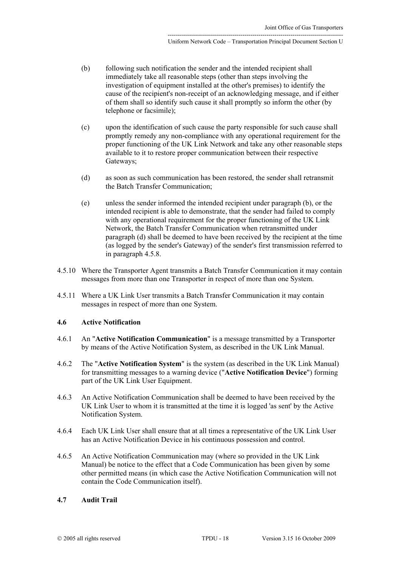- <span id="page-17-3"></span>(b) following such notification the sender and the intended recipient shall immediately take all reasonable steps (other than steps involving the investigation of equipment installed at the other's premises) to identify the cause of the recipient's non-receipt of an acknowledging message, and if either of them shall so identify such cause it shall promptly so inform the other (by telephone or facsimile);
- (c) upon the identification of such cause the party responsible for such cause shall promptly remedy any non-compliance with any operational requirement for the proper functioning of the UK Link Network and take any other reasonable steps available to it to restore proper communication between their respective Gateways;
- <span id="page-17-4"></span>(d) as soon as such communication has been restored, the sender shall retransmit the Batch Transfer Communication;
- <span id="page-17-2"></span>(e) unless the sender informed the intended recipient under paragraph [\(b\),](#page-17-3) or the intended recipient is able to demonstrate, that the sender had failed to comply with any operational requirement for the proper functioning of the UK Link Network, the Batch Transfer Communication when retransmitted under paragraph [\(d\)](#page-17-4) shall be deemed to have been received by the recipient at the time (as logged by the sender's Gateway) of the sender's first transmission referred to in paragraph [4.5.8.](#page-16-4)
- 4.5.10 Where the Transporter Agent transmits a Batch Transfer Communication it may contain messages from more than one Transporter in respect of more than one System.
- 4.5.11 Where a UK Link User transmits a Batch Transfer Communication it may contain messages in respect of more than one System.

## <span id="page-17-1"></span>**4.6 Active Notification**

- 4.6.1 An "**Active Notification Communication**" is a message transmitted by a Transporter by means of the Active Notification System, as described in the UK Link Manual.
- 4.6.2 The "**Active Notification System**" is the system (as described in the UK Link Manual) for transmitting messages to a warning device ("**Active Notification Device**") forming part of the UK Link User Equipment.
- 4.6.3 An Active Notification Communication shall be deemed to have been received by the UK Link User to whom it is transmitted at the time it is logged 'as sent' by the Active Notification System.
- <span id="page-17-0"></span>4.6.4 Each UK Link User shall ensure that at all times a representative of the UK Link User has an Active Notification Device in his continuous possession and control.
- 4.6.5 An Active Notification Communication may (where so provided in the UK Link Manual) be notice to the effect that a Code Communication has been given by some other permitted means (in which case the Active Notification Communication will not contain the Code Communication itself).

#### <span id="page-17-5"></span>**4.7 Audit Trail**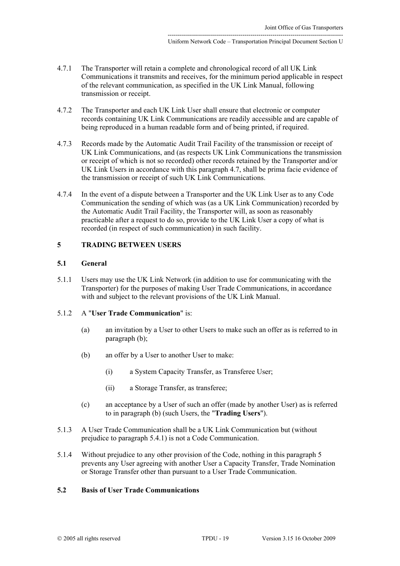- 4.7.1 The Transporter will retain a complete and chronological record of all UK Link Communications it transmits and receives, for the minimum period applicable in respect of the relevant communication, as specified in the UK Link Manual, following transmission or receipt.
- 4.7.2 The Transporter and each UK Link User shall ensure that electronic or computer records containing UK Link Communications are readily accessible and are capable of being reproduced in a human readable form and of being printed, if required.
- 4.7.3 Records made by the Automatic Audit Trail Facility of the transmission or receipt of UK Link Communications, and (as respects UK Link Communications the transmission or receipt of which is not so recorded) other records retained by the Transporter and/or UK Link Users in accordance with this paragraph [4.7,](#page-17-5) shall be prima facie evidence of the transmission or receipt of such UK Link Communications.
- 4.7.4 In the event of a dispute between a Transporter and the UK Link User as to any Code Communication the sending of which was (as a UK Link Communication) recorded by the Automatic Audit Trail Facility, the Transporter will, as soon as reasonably practicable after a request to do so, provide to the UK Link User a copy of what is recorded (in respect of such communication) in such facility.

# <span id="page-18-1"></span>**5 TRADING BETWEEN USERS**

#### **5.1 General**

5.1.1 Users may use the UK Link Network (in addition to use for communicating with the Transporter) for the purposes of making User Trade Communications, in accordance with and subject to the relevant provisions of the UK Link Manual.

#### 5.1.2 A "**User Trade Communication**" is:

- (a) an invitation by a User to other Users to make such an offer as is referred to in paragraph [\(b\);](#page-18-0)
- <span id="page-18-0"></span>(b) an offer by a User to another User to make:
	- (i) a System Capacity Transfer, as Transferee User;
	- (ii) a Storage Transfer, as transferee;
- <span id="page-18-2"></span>(c) an acceptance by a User of such an offer (made by another User) as is referred to in paragraph [\(b\)](#page-18-0) (such Users, the "**Trading Users**").
- 5.1.3 A User Trade Communication shall be a UK Link Communication but (without prejudice to paragraph [5.4.1\)](#page-19-0) is not a Code Communication.
- 5.1.4 Without prejudice to any other provision of the Code, nothing in this paragraph [5](#page-18-1)  prevents any User agreeing with another User a Capacity Transfer, Trade Nomination or Storage Transfer other than pursuant to a User Trade Communication.

# **5.2 Basis of User Trade Communications**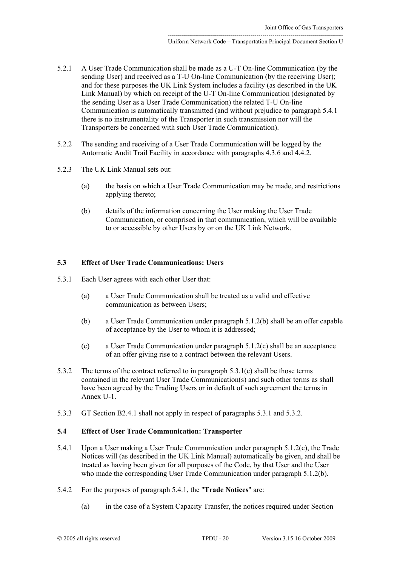- 5.2.1 A User Trade Communication shall be made as a U-T On-line Communication (by the sending User) and received as a T-U On-line Communication (by the receiving User); and for these purposes the UK Link System includes a facility (as described in the UK Link Manual) by which on receipt of the U-T On-line Communication (designated by the sending User as a User Trade Communication) the related T-U On-line Communication is automatically transmitted (and without prejudice to paragraph [5.4.1](#page-19-0) there is no instrumentality of the Transporter in such transmission nor will the Transporters be concerned with such User Trade Communication).
- 5.2.2 The sending and receiving of a User Trade Communication will be logged by the Automatic Audit Trail Facility in accordance with paragraphs [4.3.6](#page-15-5) and [4.4.2.](#page-16-5)
- 5.2.3 The UK Link Manual sets out:
	- (a) the basis on which a User Trade Communication may be made, and restrictions applying thereto;
	- (b) details of the information concerning the User making the User Trade Communication, or comprised in that communication, which will be available to or accessible by other Users by or on the UK Link Network.

# **5.3 Effect of User Trade Communications: Users**

- <span id="page-19-2"></span>5.3.1 Each User agrees with each other User that:
	- (a) a User Trade Communication shall be treated as a valid and effective communication as between Users;
	- (b) a User Trade Communication under paragraph [5.1.2\(b\)](#page-18-0) shall be an offer capable of acceptance by the User to whom it is addressed;
	- (c) a User Trade Communication under paragraph [5.1.2\(c\)](#page-18-2) shall be an acceptance of an offer giving rise to a contract between the relevant Users.
- <span id="page-19-3"></span><span id="page-19-1"></span>5.3.2 The terms of the contract referred to in paragraph [5.3.1\(c\)](#page-19-1) shall be those terms contained in the relevant User Trade Communication(s) and such other terms as shall have been agreed by the Trading Users or in default of such agreement the terms in [Annex U-1.](#page-37-0)
- 5.3.3 GT Section B2.4.1 shall not apply in respect of paragraphs [5.3.1](#page-19-2) and [5.3.2.](#page-19-3)

## **5.4 Effect of User Trade Communication: Transporter**

- <span id="page-19-0"></span>5.4.1 Upon a User making a User Trade Communication under paragraph [5.1.2\(c\),](#page-18-2) the Trade Notices will (as described in the UK Link Manual) automatically be given, and shall be treated as having been given for all purposes of the Code, by that User and the User who made the corresponding User Trade Communication under paragraph [5.1.2\(b\).](#page-18-0)
- 5.4.2 For the purposes of paragraph [5.4.1,](#page-19-0) the "**Trade Notices**" are:
	- (a) in the case of a System Capacity Transfer, the notices required under Section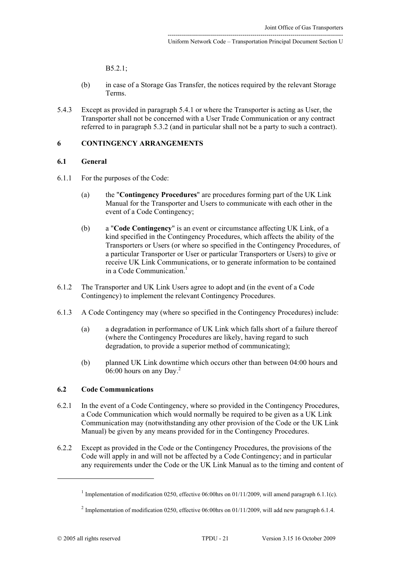B5.2.1;

- (b) in case of a Storage Gas Transfer, the notices required by the relevant Storage Terms.
- 5.4.3 Except as provided in paragraph [5.4.1](#page-19-0) or where the Transporter is acting as User, the Transporter shall not be concerned with a User Trade Communication or any contract referred to in paragraph [5.3.2](#page-19-3) (and in particular shall not be a party to such a contract).

### <span id="page-20-0"></span>**6 CONTINGENCY ARRANGEMENTS**

#### **6.1 General**

- 6.1.1 For the purposes of the Code:
	- (a) the "**Contingency Procedures**" are procedures forming part of the UK Link Manual for the Transporter and Users to communicate with each other in the event of a Code Contingency;
	- (b) a "**Code Contingency**" is an event or circumstance affecting UK Link, of a kind specified in the Contingency Procedures, which affects the ability of the Transporters or Users (or where so specified in the Contingency Procedures, of a particular Transporter or User or particular Transporters or Users) to give or receive UK Link Communications, or to generate information to be contained in a Code Communication $<sup>1</sup>$ </sup>
- 6.1.2 The Transporter and UK Link Users agree to adopt and (in the event of a Code Contingency) to implement the relevant Contingency Procedures.
- 6.1.3 A Code Contingency may (where so specified in the Contingency Procedures) include:
	- (a) a degradation in performance of UK Link which falls short of a failure thereof (where the Contingency Procedures are likely, having regard to such degradation, to provide a superior method of communicating);
	- (b) planned UK Link downtime which occurs other than between 04:00 hours and  $06:00$  hours on any Day.<sup>[2](#page-20-3)</sup>

# <span id="page-20-1"></span>**6.2 Code Communications**

- 6.2.1 In the event of a Code Contingency, where so provided in the Contingency Procedures, a Code Communication which would normally be required to be given as a UK Link Communication may (notwithstanding any other provision of the Code or the UK Link Manual) be given by any means provided for in the Contingency Procedures.
- 6.2.2 Except as provided in the Code or the Contingency Procedures, the provisions of the Code will apply in and will not be affected by a Code Contingency; and in particular any requirements under the Code or the UK Link Manual as to the timing and content of

<span id="page-20-2"></span><sup>&</sup>lt;sup>1</sup> Implementation of modification 0250, effective 06:00 hrs on 01/11/2009, will amend paragraph 6.1.1(c).

<span id="page-20-3"></span><sup>&</sup>lt;sup>2</sup> Implementation of modification 0250, effective 06:00hrs on 01/11/2009, will add new paragraph 6.1.4.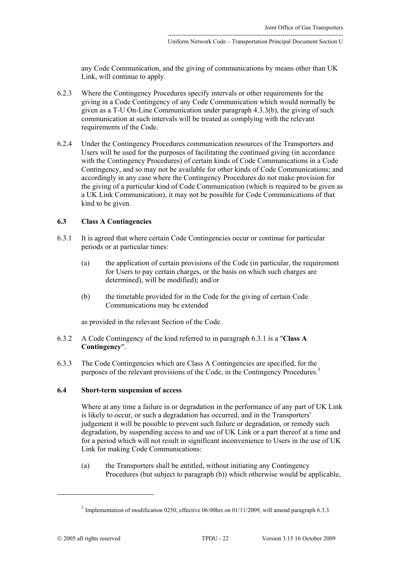any Code Communication, and the giving of communications by means other than UK Link, will continue to apply.

- 6.2.3 Where the Contingency Procedures specify intervals or other requirements for the giving in a Code Contingency of any Code Communication which would normally be given as a T-U On-Line Communication under paragraph [4.3.3\(b\),](#page-15-6) the giving of such communication at such intervals will be treated as complying with the relevant requirements of the Code.
- 6.2.4 Under the Contingency Procedures communication resources of the Transporters and Users will be used for the purposes of facilitating the continued giving (in accordance with the Contingency Procedures) of certain kinds of Code Communications in a Code Contingency, and so may not be available for other kinds of Code Communications; and accordingly in any case where the Contingency Procedures do not make provision for the giving of a particular kind of Code Communication (which is required to be given as a UK Link Communication), it may not be possible for Code Communications of that kind to be given.

### <span id="page-21-2"></span>**6.3 Class A Contingencies**

- <span id="page-21-0"></span>6.3.1 It is agreed that where certain Code Contingencies occur or continue for particular periods or at particular times:
	- (a) the application of certain provisions of the Code (in particular, the requirement for Users to pay certain charges, or the basis on which such charges are determined), will be modified); and/or
	- (b) the timetable provided for in the Code for the giving of certain Code Communications may be extended

as provided in the relevant Section of the Code.

- 6.3.2 A Code Contingency of the kind referred to in paragraph [6.3.1](#page-21-0) is a "**Class A Contingency**".
- 6.3.3 The Code Contingencies which are Class A Contingencies are specified, for the purposes of the relevant provisions of the Code, in the Contingency Procedures.<sup>[3](#page-21-1)</sup>

# **6.4 Short-term suspension of access**

Where at any time a failure in or degradation in the performance of any part of UK Link is likely to occur, or such a degradation has occurred, and in the Transporters' judgement it will be possible to prevent such failure or degradation, or remedy such degradation, by suspending access to and use of UK Link or a part thereof at a time and for a period which will not result in significant inconvenience to Users in the use of UK Link for making Code Communications:

(a) the Transporters shall be entitled, without initiating any Contingency Procedures (but subject to paragraph [\(b\)\)](#page-22-1) which otherwise would be applicable,

<span id="page-21-1"></span> $3$  Implementation of modification 0250, effective 06:00 hrs on 01/11/2009, will amend paragraph 6.3.3.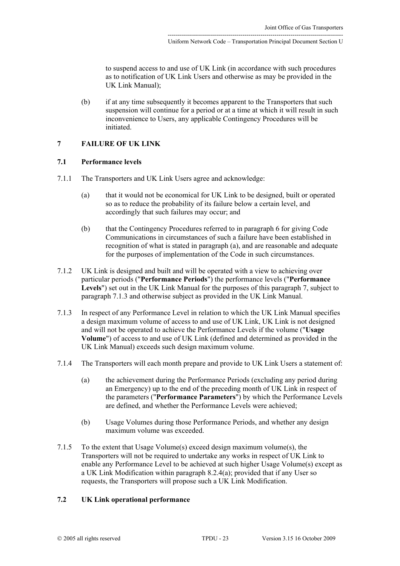to suspend access to and use of UK Link (in accordance with such procedures as to notification of UK Link Users and otherwise as may be provided in the UK Link Manual);

<span id="page-22-1"></span>(b) if at any time subsequently it becomes apparent to the Transporters that such suspension will continue for a period or at a time at which it will result in such inconvenience to Users, any applicable Contingency Procedures will be initiated.

# <span id="page-22-0"></span>**7 FAILURE OF UK LINK**

#### **7.1 Performance levels**

- <span id="page-22-2"></span>7.1.1 The Transporters and UK Link Users agree and acknowledge:
	- (a) that it would not be economical for UK Link to be designed, built or operated so as to reduce the probability of its failure below a certain level, and accordingly that such failures may occur; and
	- (b) that the Contingency Procedures referred to in paragraph [6](#page-20-0) for giving Code Communications in circumstances of such a failure have been established in recognition of what is stated in paragraph [\(a\),](#page-22-2) and are reasonable and adequate for the purposes of implementation of the Code in such circumstances.
- 7.1.2 UK Link is designed and built and will be operated with a view to achieving over particular periods ("**Performance Periods**") the performance levels ("**Performance Levels**") set out in the UK Link Manual for the purposes of this paragraph [7,](#page-22-0) subject to paragraph [7.1.3](#page-22-3) and otherwise subject as provided in the UK Link Manual.
- <span id="page-22-3"></span>7.1.3 In respect of any Performance Level in relation to which the UK Link Manual specifies a design maximum volume of access to and use of UK Link, UK Link is not designed and will not be operated to achieve the Performance Levels if the volume ("**Usage Volume**") of access to and use of UK Link (defined and determined as provided in the UK Link Manual) exceeds such design maximum volume.
- <span id="page-22-4"></span>7.1.4 The Transporters will each month prepare and provide to UK Link Users a statement of:
	- (a) the achievement during the Performance Periods (excluding any period during an Emergency) up to the end of the preceding month of UK Link in respect of the parameters ("**Performance Parameters**") by which the Performance Levels are defined, and whether the Performance Levels were achieved;
	- (b) Usage Volumes during those Performance Periods, and whether any design maximum volume was exceeded.
- 7.1.5 To the extent that Usage Volume(s) exceed design maximum volume(s), the Transporters will not be required to undertake any works in respect of UK Link to enable any Performance Level to be achieved at such higher Usage Volume(s) except as a UK Link Modification within paragraph [8.2.4\(a\);](#page-31-0) provided that if any User so requests, the Transporters will propose such a UK Link Modification.

## <span id="page-22-5"></span>**7.2 UK Link operational performance**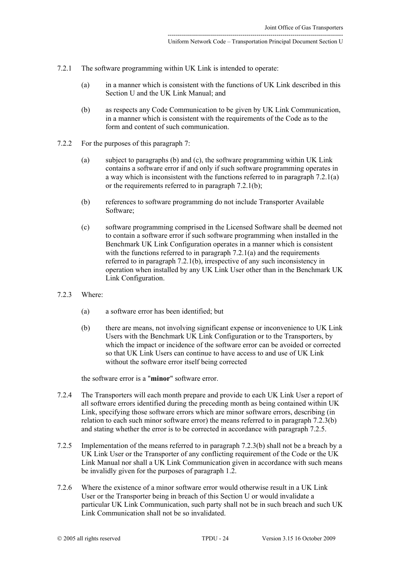- <span id="page-23-2"></span>7.2.1 The software programming within UK Link is intended to operate:
	- (a) in a manner which is consistent with the functions of UK Link described in this Section U and the UK Link Manual; and
	- (b) as respects any Code Communication to be given by UK Link Communication, in a manner which is consistent with the requirements of the Code as to the form and content of such communication.
- <span id="page-23-3"></span><span id="page-23-0"></span>7.2.2 For the purposes of this paragraph [7:](#page-22-0)
	- (a) subject to paragraphs [\(b\)](#page-23-0) and [\(c\),](#page-23-1) the software programming within UK Link contains a software error if and only if such software programming operates in a way which is inconsistent with the functions referred to in paragraph [7.2.1\(a\)](#page-23-2)  or the requirements referred to in paragraph [7.2.1\(b\);](#page-23-3)
	- (b) references to software programming do not include Transporter Available Software;
	- (c) software programming comprised in the Licensed Software shall be deemed not to contain a software error if such software programming when installed in the Benchmark UK Link Configuration operates in a manner which is consistent with the functions referred to in paragraph [7.2.1\(a\)](#page-23-2) and the requirements referred to in paragraph [7.2.1\(b\),](#page-23-3) irrespective of any such inconsistency in operation when installed by any UK Link User other than in the Benchmark UK Link Configuration.
- <span id="page-23-1"></span>7.2.3 Where:
	- (a) a software error has been identified; but
	- (b) there are means, not involving significant expense or inconvenience to UK Link Users with the Benchmark UK Link Configuration or to the Transporters, by which the impact or incidence of the software error can be avoided or corrected so that UK Link Users can continue to have access to and use of UK Link without the software error itself being corrected

<span id="page-23-6"></span><span id="page-23-4"></span>the software error is a "**minor**" software error.

- 7.2.4 The Transporters will each month prepare and provide to each UK Link User a report of all software errors identified during the preceding month as being contained within UK Link, specifying those software errors which are minor software errors, describing (in relation to each such minor software error) the means referred to in paragraph [7.2.3\(b\)](#page-23-4)  and stating whether the error is to be corrected in accordance with paragraph [7.2.5.](#page-23-5)
- <span id="page-23-5"></span>7.2.5 Implementation of the means referred to in paragraph [7.2.3\(b\)](#page-23-4) shall not be a breach by a UK Link User or the Transporter of any conflicting requirement of the Code or the UK Link Manual nor shall a UK Link Communication given in accordance with such means be invalidly given for the purposes of paragraph [1.2.](#page-1-5)
- 7.2.6 Where the existence of a minor software error would otherwise result in a UK Link User or the Transporter being in breach of this Section U or would invalidate a particular UK Link Communication, such party shall not be in such breach and such UK Link Communication shall not be so invalidated.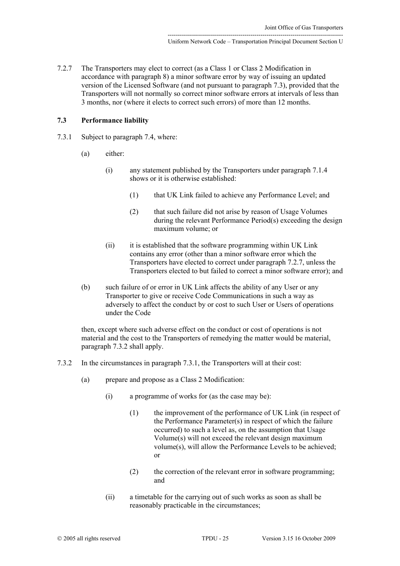<span id="page-24-1"></span>7.2.7 The Transporters may elect to correct (as a Class 1 or Class 2 Modification in accordance with paragraph [8\)](#page-29-0) a minor software error by way of issuing an updated version of the Licensed Software (and not pursuant to paragraph [7.3\)](#page-24-0), provided that the Transporters will not normally so correct minor software errors at intervals of less than 3 months, nor (where it elects to correct such errors) of more than 12 months.

#### <span id="page-24-0"></span>**7.3 Performance liability**

- <span id="page-24-3"></span>7.3.1 Subject to paragraph [7.4,](#page-25-0) where:
	- (a) either:
		- (i) any statement published by the Transporters under paragraph [7.1.4](#page-22-4)  shows or it is otherwise established:
			- (1) that UK Link failed to achieve any Performance Level; and
			- (2) that such failure did not arise by reason of Usage Volumes during the relevant Performance Period(s) exceeding the design maximum volume; or
		- (ii) it is established that the software programming within UK Link contains any error (other than a minor software error which the Transporters have elected to correct under paragraph [7.2.7,](#page-24-1) unless the Transporters elected to but failed to correct a minor software error); and
	- (b) such failure of or error in UK Link affects the ability of any User or any Transporter to give or receive Code Communications in such a way as adversely to affect the conduct by or cost to such User or Users of operations under the Code

then, except where such adverse effect on the conduct or cost of operations is not material and the cost to the Transporters of remedying the matter would be material, paragraph [7.3.2](#page-24-2) shall apply.

- <span id="page-24-2"></span>7.3.2 In the circumstances in paragraph [7.3.1,](#page-24-3) the Transporters will at their cost:
	- (a) prepare and propose as a Class 2 Modification:
		- (i) a programme of works for (as the case may be):
			- (1) the improvement of the performance of UK Link (in respect of the Performance Parameter(s) in respect of which the failure occurred) to such a level as, on the assumption that Usage Volume(s) will not exceed the relevant design maximum volume(s), will allow the Performance Levels to be achieved; or
			- (2) the correction of the relevant error in software programming; and
		- (ii) a timetable for the carrying out of such works as soon as shall be reasonably practicable in the circumstances;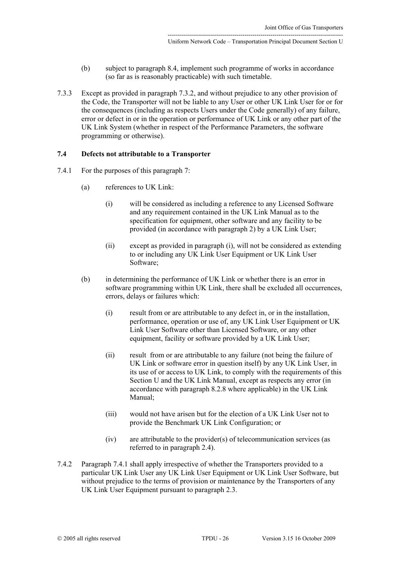- (b) subject to paragraph [8.4,](#page-33-0) implement such programme of works in accordance (so far as is reasonably practicable) with such timetable.
- 7.3.3 Except as provided in paragraph [7.3.2,](#page-24-2) and without prejudice to any other provision of the Code, the Transporter will not be liable to any User or other UK Link User for or for the consequences (including as respects Users under the Code generally) of any failure, error or defect in or in the operation or performance of UK Link or any other part of the UK Link System (whether in respect of the Performance Parameters, the software programming or otherwise).

## <span id="page-25-0"></span>**7.4 Defects not attributable to a Transporter**

- <span id="page-25-2"></span><span id="page-25-1"></span>7.4.1 For the purposes of this paragraph [7:](#page-22-0)
	- (a) references to UK Link:
		- (i) will be considered as including a reference to any Licensed Software and any requirement contained in the UK Link Manual as to the specification for equipment, other software and any facility to be provided (in accordance with paragraph [2\)](#page-6-2) by a UK Link User;
		- (ii) except as provided in paragraph [\(i\),](#page-25-1) will not be considered as extending to or including any UK Link User Equipment or UK Link User Software;
	- (b) in determining the performance of UK Link or whether there is an error in software programming within UK Link, there shall be excluded all occurrences, errors, delays or failures which:
		- (i) result from or are attributable to any defect in, or in the installation, performance, operation or use of, any UK Link User Equipment or UK Link User Software other than Licensed Software, or any other equipment, facility or software provided by a UK Link User;
		- (ii) result from or are attributable to any failure (not being the failure of UK Link or software error in question itself) by any UK Link User, in its use of or access to UK Link, to comply with the requirements of this Section U and the UK Link Manual, except as respects any error (in accordance with paragraph 8.2.8 where applicable) in the UK Link Manual;
		- (iii) would not have arisen but for the election of a UK Link User not to provide the Benchmark UK Link Configuration; or
		- (iv) are attributable to the provider(s) of telecommunication services (as referred to in paragraph [2.4\)](#page-8-3).
- <span id="page-25-3"></span>7.4.2 Paragraph [7.4.1](#page-25-2) shall apply irrespective of whether the Transporters provided to a particular UK Link User any UK Link User Equipment or UK Link User Software, but without prejudice to the terms of provision or maintenance by the Transporters of any UK Link User Equipment pursuant to paragraph [2.3.](#page-8-0)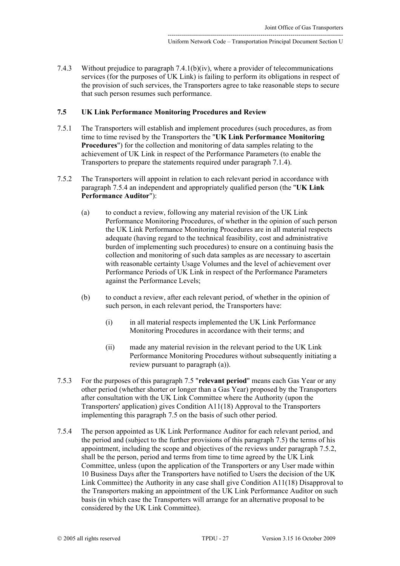7.4.3 Without prejudice to paragraph [7.4.1\(b\)\(iv\),](#page-25-3) where a provider of telecommunications services (for the purposes of UK Link) is failing to perform its obligations in respect of the provision of such services, the Transporters agree to take reasonable steps to secure that such person resumes such performance.

## <span id="page-26-2"></span>**7.5 UK Link Performance Monitoring Procedures and Review**

- 7.5.1 The Transporters will establish and implement procedures (such procedures, as from time to time revised by the Transporters the "**UK Link Performance Monitoring Procedures**") for the collection and monitoring of data samples relating to the achievement of UK Link in respect of the Performance Parameters (to enable the Transporters to prepare the statements required under paragraph [7.1.4\)](#page-22-4).
- <span id="page-26-3"></span><span id="page-26-1"></span>7.5.2 The Transporters will appoint in relation to each relevant period in accordance with paragraph [7.5.4](#page-26-0) an independent and appropriately qualified person (the "**UK Link Performance Auditor**"):
	- (a) to conduct a review, following any material revision of the UK Link Performance Monitoring Procedures, of whether in the opinion of such person the UK Link Performance Monitoring Procedures are in all material respects adequate (having regard to the technical feasibility, cost and administrative burden of implementing such procedures) to ensure on a continuing basis the collection and monitoring of such data samples as are necessary to ascertain with reasonable certainty Usage Volumes and the level of achievement over Performance Periods of UK Link in respect of the Performance Parameters against the Performance Levels;
	- (b) to conduct a review, after each relevant period, of whether in the opinion of such person, in each relevant period, the Transporters have:
		- (i) in all material respects implemented the UK Link Performance Monitoring Procedures in accordance with their terms; and
		- (ii) made any material revision in the relevant period to the UK Link Performance Monitoring Procedures without subsequently initiating a review pursuant to paragraph [\(a\)\)](#page-26-1).
- <span id="page-26-4"></span>7.5.3 For the purposes of this paragraph [7.5](#page-26-2) "**relevant period**" means each Gas Year or any other period (whether shorter or longer than a Gas Year) proposed by the Transporters after consultation with the UK Link Committee where the Authority (upon the Transporters' application) gives Condition A11(18) Approval to the Transporters implementing this paragraph [7.5](#page-26-2) on the basis of such other period.
- <span id="page-26-0"></span>7.5.4 The person appointed as UK Link Performance Auditor for each relevant period, and the period and (subject to the further provisions of this paragraph [7.5\)](#page-26-2) the terms of his appointment, including the scope and objectives of the reviews under paragraph [7.5.2,](#page-26-3) shall be the person, period and terms from time to time agreed by the UK Link Committee, unless (upon the application of the Transporters or any User made within 10 Business Days after the Transporters have notified to Users the decision of the UK Link Committee) the Authority in any case shall give Condition A11(18) Disapproval to the Transporters making an appointment of the UK Link Performance Auditor on such basis (in which case the Transporters will arrange for an alternative proposal to be considered by the UK Link Committee).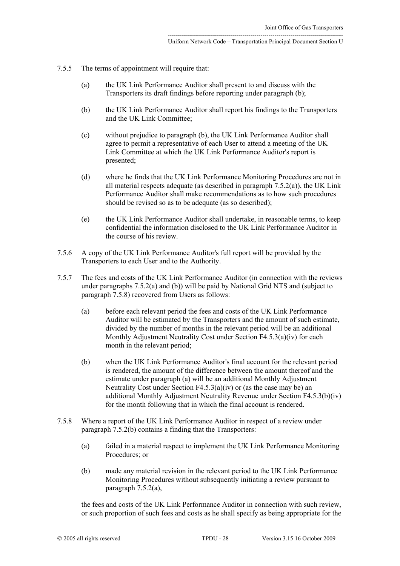- <span id="page-27-0"></span>7.5.5 The terms of appointment will require that:
	- (a) the UK Link Performance Auditor shall present to and discuss with the Transporters its draft findings before reporting under paragraph [\(b\);](#page-27-0)
	- (b) the UK Link Performance Auditor shall report his findings to the Transporters and the UK Link Committee;
	- (c) without prejudice to paragraph [\(b\),](#page-27-0) the UK Link Performance Auditor shall agree to permit a representative of each User to attend a meeting of the UK Link Committee at which the UK Link Performance Auditor's report is presented;
	- (d) where he finds that the UK Link Performance Monitoring Procedures are not in all material respects adequate (as described in paragraph [7.5.2\(a\)\)](#page-26-1), the UK Link Performance Auditor shall make recommendations as to how such procedures should be revised so as to be adequate (as so described);
	- (e) the UK Link Performance Auditor shall undertake, in reasonable terms, to keep confidential the information disclosed to the UK Link Performance Auditor in the course of his review.
- 7.5.6 A copy of the UK Link Performance Auditor's full report will be provided by the Transporters to each User and to the Authority.
- <span id="page-27-3"></span><span id="page-27-2"></span>7.5.7 The fees and costs of the UK Link Performance Auditor (in connection with the reviews under paragraphs [7.5.2\(a\)](#page-26-1) and [\(b\)\)](#page-26-4) will be paid by National Grid NTS and (subject to paragraph [7.5.8\)](#page-27-1) recovered from Users as follows:
	- (a) before each relevant period the fees and costs of the UK Link Performance Auditor will be estimated by the Transporters and the amount of such estimate, divided by the number of months in the relevant period will be an additional Monthly Adjustment Neutrality Cost under Section F4.5.3(a)(iv) for each month in the relevant period;
	- (b) when the UK Link Performance Auditor's final account for the relevant period is rendered, the amount of the difference between the amount thereof and the estimate under paragraph [\(a\) w](#page-27-2)ill be an additional Monthly Adjustment Neutrality Cost under Section  $F4.5.3(a)(iv)$  or (as the case may be) an additional Monthly Adjustment Neutrality Revenue under Section F4.5.3(b)(iv) for the month following that in which the final account is rendered.
- <span id="page-27-1"></span>7.5.8 Where a report of the UK Link Performance Auditor in respect of a review under paragraph [7.5.2\(b\)](#page-26-4) contains a finding that the Transporters:
	- (a) failed in a material respect to implement the UK Link Performance Monitoring Procedures; or
	- (b) made any material revision in the relevant period to the UK Link Performance Monitoring Procedures without subsequently initiating a review pursuant to paragraph [7.5.2\(a\),](#page-26-1)

the fees and costs of the UK Link Performance Auditor in connection with such review, or such proportion of such fees and costs as he shall specify as being appropriate for the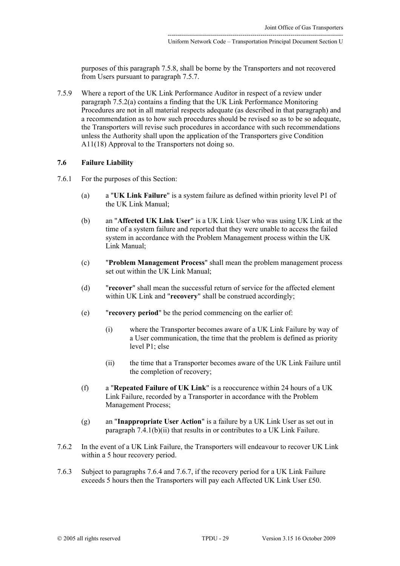purposes of this paragraph 7.5.8, shall be borne by the Transporters and not recovered from Users pursuant to paragraph [7.5.7.](#page-27-3)

7.5.9 Where a report of the UK Link Performance Auditor in respect of a review under paragraph [7.5.2\(a\) c](#page-26-1)ontains a finding that the UK Link Performance Monitoring Procedures are not in all material respects adequate (as described in that paragraph) and a recommendation as to how such procedures should be revised so as to be so adequate, the Transporters will revise such procedures in accordance with such recommendations unless the Authority shall upon the application of the Transporters give Condition A11(18) Approval to the Transporters not doing so.

#### **7.6 Failure Liability**

- 7.6.1 For the purposes of this Section:
	- (a) a "**UK Link Failure**" is a system failure as defined within priority level P1 of the UK Link Manual;
	- (b) an "**Affected UK Link User**" is a UK Link User who was using UK Link at the time of a system failure and reported that they were unable to access the failed system in accordance with the Problem Management process within the UK Link Manual;
	- (c) "**Problem Management Process**" shall mean the problem management process set out within the UK Link Manual;
	- (d) "**recover**" shall mean the successful return of service for the affected element within UK Link and "**recovery**" shall be construed accordingly;
	- (e) "**recovery period**" be the period commencing on the earlier of:
		- (i) where the Transporter becomes aware of a UK Link Failure by way of a User communication, the time that the problem is defined as priority level P1; else
		- (ii) the time that a Transporter becomes aware of the UK Link Failure until the completion of recovery;
	- (f) a "**Repeated Failure of UK Link**" is a reoccurence within 24 hours of a UK Link Failure, recorded by a Transporter in accordance with the Problem Management Process;
	- (g) an "**Inappropriate User Action**" is a failure by a UK Link User as set out in paragraph 7.4.1(b)(ii) that results in or contributes to a UK Link Failure.
- 7.6.2 In the event of a UK Link Failure, the Transporters will endeavour to recover UK Link within a 5 hour recovery period.
- 7.6.3 Subject to paragraphs 7.6.4 and 7.6.7, if the recovery period for a UK Link Failure exceeds 5 hours then the Transporters will pay each Affected UK Link User £50.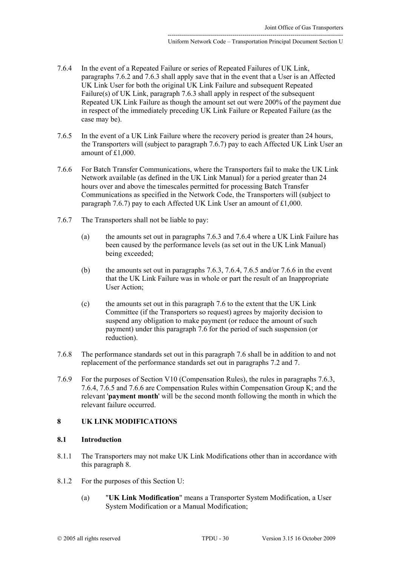- 7.6.4 In the event of a Repeated Failure or series of Repeated Failures of UK Link, paragraphs 7.6.2 and 7.6.3 shall apply save that in the event that a User is an Affected UK Link User for both the original UK Link Failure and subsequent Repeated Failure(s) of UK Link, paragraph 7.6.3 shall apply in respect of the subsequent Repeated UK Link Failure as though the amount set out were 200% of the payment due in respect of the immediately preceding UK Link Failure or Repeated Failure (as the case may be).
- 7.6.5 In the event of a UK Link Failure where the recovery period is greater than 24 hours, the Transporters will (subject to paragraph 7.6.7) pay to each Affected UK Link User an amount of £1,000.
- 7.6.6 For Batch Transfer Communications, where the Transporters fail to make the UK Link Network available (as defined in the UK Link Manual) for a period greater than 24 hours over and above the timescales permitted for processing Batch Transfer Communications as specified in the Network Code, the Transporters will (subject to paragraph 7.6.7) pay to each Affected UK Link User an amount of £1,000.
- 7.6.7 The Transporters shall not be liable to pay:
	- (a) the amounts set out in paragraphs 7.6.3 and 7.6.4 where a UK Link Failure has been caused by the performance levels (as set out in the UK Link Manual) being exceeded;
	- (b) the amounts set out in paragraphs 7.6.3, 7.6.4, 7.6.5 and/or 7.6.6 in the event that the UK Link Failure was in whole or part the result of an Inappropriate User Action;
	- (c) the amounts set out in this paragraph 7.6 to the extent that the UK Link Committee (if the Transporters so request) agrees by majority decision to suspend any obligation to make payment (or reduce the amount of such payment) under this paragraph 7.6 for the period of such suspension (or reduction).
- 7.6.8 The performance standards set out in this paragraph 7.6 shall be in addition to and not replacement of the performance standards set out in paragraphs 7.2 and 7.
- 7.6.9 For the purposes of Section V10 (Compensation Rules), the rules in paragraphs 7.6.3, 7.6.4, 7.6.5 and 7.6.6 are Compensation Rules within Compensation Group K; and the relevant '**payment month**' will be the second month following the month in which the relevant failure occurred.

# <span id="page-29-0"></span>**8 UK LINK MODIFICATIONS**

# **8.1 Introduction**

- 8.1.1 The Transporters may not make UK Link Modifications other than in accordance with this paragraph 8.
- 8.1.2 For the purposes of this Section U:
	- (a) "**UK Link Modification**" means a Transporter System Modification, a User System Modification or a Manual Modification;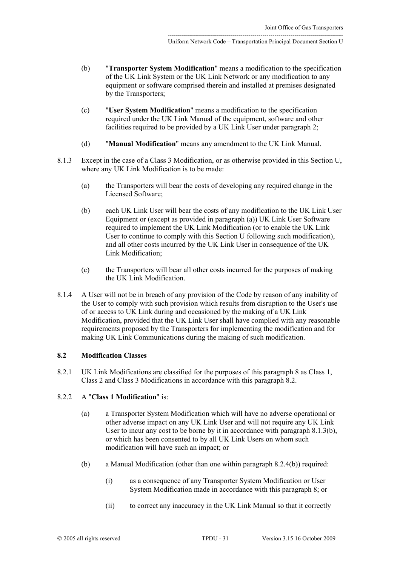- (b) "**Transporter System Modification**" means a modification to the specification of the UK Link System or the UK Link Network or any modification to any equipment or software comprised therein and installed at premises designated by the Transporters;
- (c) "**User System Modification**" means a modification to the specification required under the UK Link Manual of the equipment, software and other facilities required to be provided by a UK Link User under paragraph [2;](#page-6-2)
- <span id="page-30-1"></span>(d) "**Manual Modification**" means any amendment to the UK Link Manual.
- <span id="page-30-0"></span>8.1.3 Except in the case of a Class 3 Modification, or as otherwise provided in this Section U, where any UK Link Modification is to be made:
	- (a) the Transporters will bear the costs of developing any required change in the Licensed Software;
	- (b) each UK Link User will bear the costs of any modification to the UK Link User Equipment or (except as provided in paragraph [\(a\)\)](#page-30-1) UK Link User Software required to implement the UK Link Modification (or to enable the UK Link User to continue to comply with this Section U following such modification), and all other costs incurred by the UK Link User in consequence of the UK Link Modification;
	- (c) the Transporters will bear all other costs incurred for the purposes of making the UK Link Modification.
- 8.1.4 A User will not be in breach of any provision of the Code by reason of any inability of the User to comply with such provision which results from disruption to the User's use of or access to UK Link during and occasioned by the making of a UK Link Modification, provided that the UK Link User shall have complied with any reasonable requirements proposed by the Transporters for implementing the modification and for making UK Link Communications during the making of such modification.

# **8.2 Modification Classes**

8.2.1 UK Link Modifications are classified for the purposes of this paragraph [8](#page-29-0) as Class 1, Class 2 and Class 3 Modifications in accordance with this paragraph 8.2.

# 8.2.2 A "**Class 1 Modification**" is:

- (a) a Transporter System Modification which will have no adverse operational or other adverse impact on any UK Link User and will not require any UK Link User to incur any cost to be borne by it in accordance with paragraph [8.1.3\(b\),](#page-30-0) or which has been consented to by all UK Link Users on whom such modification will have such an impact; or
- <span id="page-30-2"></span>(b) a Manual Modification (other than one within paragraph [8.2.4\(b\)\)](#page-31-1) required:
	- (i) as a consequence of any Transporter System Modification or User System Modification made in accordance with this paragraph [8;](#page-29-0) or
	- (ii) to correct any inaccuracy in the UK Link Manual so that it correctly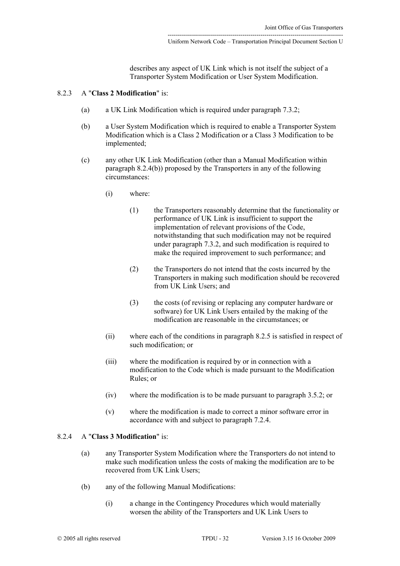describes any aspect of UK Link which is not itself the subject of a Transporter System Modification or User System Modification.

# 8.2.3 A "**Class 2 Modification**" is:

- (a) a UK Link Modification which is required under paragraph [7.3.2;](#page-24-2)
- (b) a User System Modification which is required to enable a Transporter System Modification which is a Class 2 Modification or a Class 3 Modification to be implemented;
- (c) any other UK Link Modification (other than a Manual Modification within paragraph [8.2.4\(b\)\)](#page-31-1) proposed by the Transporters in any of the following circumstances:
	- (i) where:
		- (1) the Transporters reasonably determine that the functionality or performance of UK Link is insufficient to support the implementation of relevant provisions of the Code, notwithstanding that such modification may not be required under paragraph [7.3.2,](#page-24-2) and such modification is required to make the required improvement to such performance; and
		- (2) the Transporters do not intend that the costs incurred by the Transporters in making such modification should be recovered from UK Link Users; and
		- (3) the costs (of revising or replacing any computer hardware or software) for UK Link Users entailed by the making of the modification are reasonable in the circumstances; or
	- (ii) where each of the conditions in paragraph [8.2.5](#page-32-0) is satisfied in respect of such modification; or
	- (iii) where the modification is required by or in connection with a modification to the Code which is made pursuant to the Modification Rules; or
	- (iv) where the modification is to be made pursuant to paragraph [3.5.2;](#page-13-1) or
	- (v) where the modification is made to correct a minor software error in accordance with and subject to paragraph [7.2.4.](#page-23-6)

#### <span id="page-31-2"></span>8.2.4 A "**Class 3 Modification**" is:

- <span id="page-31-3"></span><span id="page-31-0"></span>(a) any Transporter System Modification where the Transporters do not intend to make such modification unless the costs of making the modification are to be recovered from UK Link Users;
- <span id="page-31-1"></span>(b) any of the following Manual Modifications:
	- (i) a change in the Contingency Procedures which would materially worsen the ability of the Transporters and UK Link Users to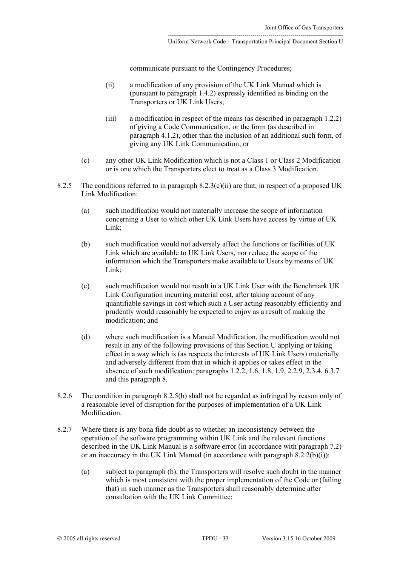communicate pursuant to the Contingency Procedures;

- (ii) a modification of any provision of the UK Link Manual which is (pursuant to paragraph [1.4.2\)](#page-2-3) expressly identified as binding on the Transporters or UK Link Users;
- (iii) a modification in respect of the means (as described in paragraph [1.2.2\)](#page-1-6) of giving a Code Communication, or the form (as described in paragraph [4.1.2\)](#page-15-7), other than the inclusion of an additional such form, of giving any UK Link Communication; or
- <span id="page-32-0"></span>(c) any other UK Link Modification which is not a Class 1 or Class 2 Modification or is one which the Transporters elect to treat as a Class 3 Modification.
- <span id="page-32-1"></span>8.2.5 The conditions referred to in paragraph  $8.2.3(c)(ii)$  are that, in respect of a proposed UK Link Modification:
	- (a) such modification would not materially increase the scope of information concerning a User to which other UK Link Users have access by virtue of UK Link;
	- (b) such modification would not adversely affect the functions or facilities of UK Link which are available to UK Link Users, nor reduce the scope of the information which the Transporters make available to Users by means of UK Link:
	- (c) such modification would not result in a UK Link User with the Benchmark UK Link Configuration incurring material cost, after taking account of any quantifiable savings in cost which such a User acting reasonably efficiently and prudently would reasonably be expected to enjoy as a result of making the modification; and
	- (d) where such modification is a Manual Modification, the modification would not result in any of the following provisions of this Section U applying or taking effect in a way which is (as respects the interests of UK Link Users) materially and adversely different from that in which it applies or takes effect in the absence of such modification: paragraphs [1.2.2,](#page-1-6) [1.6,](#page-3-7) [1.8,](#page-4-5) [1.9,](#page-4-6) [2.2.9,](#page-7-2) [2.3.4,](#page-8-1) [6.3.](#page-21-2)7 and this paragraph [8.](#page-29-0)
- 8.2.6 The condition in paragraph [8.2.5\(b\)](#page-32-1) shall not be regarded as infringed by reason only of a reasonable level of disruption for the purposes of implementation of a UK Link Modification.
- <span id="page-32-2"></span>8.2.7 Where there is any bona fide doubt as to whether an inconsistency between the operation of the software programming within UK Link and the relevant functions described in the UK Link Manual is a software error (in accordance with paragraph [7.2\)](#page-22-5) or an inaccuracy in the UK Link Manual (in accordance with paragraph  $8.2.2(b)(i)$ ):
	- (a) subject to paragraph [\(b\),](#page-33-1) the Transporters will resolve such doubt in the manner which is most consistent with the proper implementation of the Code or (failing that) in such manner as the Transporters shall reasonably determine after consultation with the UK Link Committee;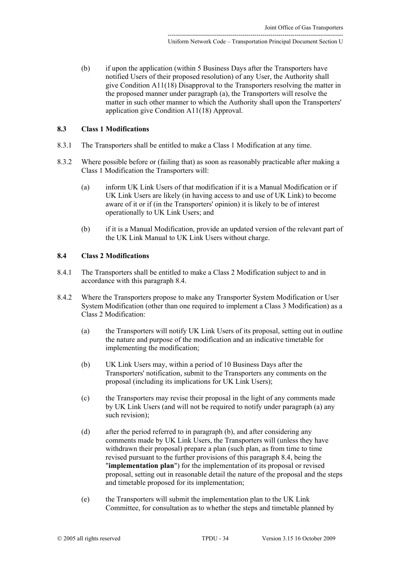<span id="page-33-1"></span>(b) if upon the application (within 5 Business Days after the Transporters have notified Users of their proposed resolution) of any User, the Authority shall give Condition A11(18) Disapproval to the Transporters resolving the matter in the proposed manner under paragraph [\(a\),](#page-32-2) the Transporters will resolve the matter in such other manner to which the Authority shall upon the Transporters' application give Condition A11(18) Approval.

# **8.3 Class 1 Modifications**

- 8.3.1 The Transporters shall be entitled to make a Class 1 Modification at any time.
- 8.3.2 Where possible before or (failing that) as soon as reasonably practicable after making a Class 1 Modification the Transporters will:
	- (a) inform UK Link Users of that modification if it is a Manual Modification or if UK Link Users are likely (in having access to and use of UK Link) to become aware of it or if (in the Transporters' opinion) it is likely to be of interest operationally to UK Link Users; and
	- (b) if it is a Manual Modification, provide an updated version of the relevant part of the UK Link Manual to UK Link Users without charge.

# <span id="page-33-0"></span>**8.4 Class 2 Modifications**

- 8.4.1 The Transporters shall be entitled to make a Class 2 Modification subject to and in accordance with this paragraph 8.4.
- <span id="page-33-3"></span><span id="page-33-2"></span>8.4.2 Where the Transporters propose to make any Transporter System Modification or User System Modification (other than one required to implement a Class 3 Modification) as a Class 2 Modification:
	- (a) the Transporters will notify UK Link Users of its proposal, setting out in outline the nature and purpose of the modification and an indicative timetable for implementing the modification;
	- (b) UK Link Users may, within a period of 10 Business Days after the Transporters' notification, submit to the Transporters any comments on the proposal (including its implications for UK Link Users);
	- (c) the Transporters may revise their proposal in the light of any comments made by UK Link Users (and will not be required to notify under paragraph [\(a\)](#page-33-2) any such revision);
	- (d) after the period referred to in paragraph [\(b\),](#page-33-3) and after considering any comments made by UK Link Users, the Transporters will (unless they have withdrawn their proposal) prepare a plan (such plan, as from time to time revised pursuant to the further provisions of this paragraph [8.4,](#page-33-0) being the "**implementation plan**") for the implementation of its proposal or revised proposal, setting out in reasonable detail the nature of the proposal and the steps and timetable proposed for its implementation;
	- (e) the Transporters will submit the implementation plan to the UK Link Committee, for consultation as to whether the steps and timetable planned by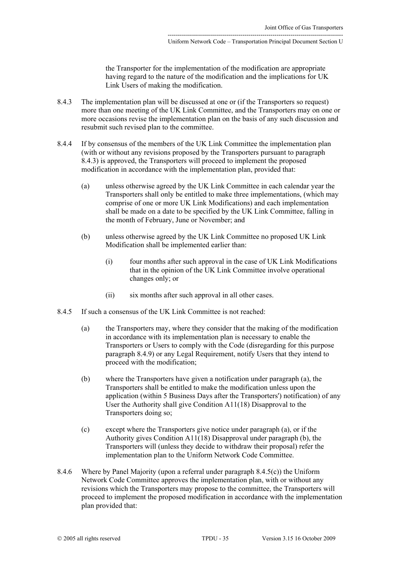the Transporter for the implementation of the modification are appropriate having regard to the nature of the modification and the implications for UK Link Users of making the modification.

- <span id="page-34-0"></span>8.4.3 The implementation plan will be discussed at one or (if the Transporters so request) more than one meeting of the UK Link Committee, and the Transporters may on one or more occasions revise the implementation plan on the basis of any such discussion and resubmit such revised plan to the committee.
- <span id="page-34-4"></span>8.4.4 If by consensus of the members of the UK Link Committee the implementation plan (with or without any revisions proposed by the Transporters pursuant to paragraph [8.4.3\)](#page-34-0) is approved, the Transporters will proceed to implement the proposed modification in accordance with the implementation plan, provided that:
	- (a) unless otherwise agreed by the UK Link Committee in each calendar year the Transporters shall only be entitled to make three implementations, (which may comprise of one or more UK Link Modifications) and each implementation shall be made on a date to be specified by the UK Link Committee, falling in the month of February, June or November; and
	- (b) unless otherwise agreed by the UK Link Committee no proposed UK Link Modification shall be implemented earlier than:
		- (i) four months after such approval in the case of UK Link Modifications that in the opinion of the UK Link Committee involve operational changes only; or
		- (ii) six months after such approval in all other cases.
- <span id="page-34-2"></span><span id="page-34-1"></span>8.4.5 If such a consensus of the UK Link Committee is not reached:
	- (a) the Transporters may, where they consider that the making of the modification in accordance with its implementation plan is necessary to enable the Transporters or Users to comply with the Code (disregarding for this purpose paragraph [8.4.9\)](#page-35-0) or any Legal Requirement, notify Users that they intend to proceed with the modification;
	- (b) where the Transporters have given a notification under paragraph [\(a\),](#page-34-1) the Transporters shall be entitled to make the modification unless upon the application (within 5 Business Days after the Transporters') notification) of any User the Authority shall give Condition A11(18) Disapproval to the Transporters doing so;
	- (c) except where the Transporters give notice under paragraph [\(a\),](#page-34-1) or if the Authority gives Condition A11(18) Disapproval under paragraph [\(b\),](#page-34-2) the Transporters will (unless they decide to withdraw their proposal) refer the implementation plan to the Uniform Network Code Committee.
- <span id="page-34-5"></span><span id="page-34-3"></span>8.4.6 Where by Panel Majority (upon a referral under paragraph [8.4.5\(c\)\)](#page-34-3) the Uniform Network Code Committee approves the implementation plan, with or without any revisions which the Transporters may propose to the committee, the Transporters will proceed to implement the proposed modification in accordance with the implementation plan provided that: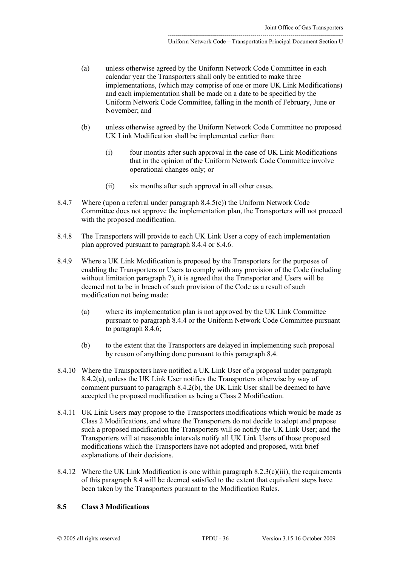- (a) unless otherwise agreed by the Uniform Network Code Committee in each calendar year the Transporters shall only be entitled to make three implementations, (which may comprise of one or more UK Link Modifications) and each implementation shall be made on a date to be specified by the Uniform Network Code Committee, falling in the month of February, June or November; and
- (b) unless otherwise agreed by the Uniform Network Code Committee no proposed UK Link Modification shall be implemented earlier than:
	- (i) four months after such approval in the case of UK Link Modifications that in the opinion of the Uniform Network Code Committee involve operational changes only; or
	- (ii) six months after such approval in all other cases.
- 8.4.7 Where (upon a referral under paragraph [8.4.5\(c\)\)](#page-34-3) the Uniform Network Code Committee does not approve the implementation plan, the Transporters will not proceed with the proposed modification.
- 8.4.8 The Transporters will provide to each UK Link User a copy of each implementation plan approved pursuant to paragraph [8.4.4](#page-34-4) or [8.4.6.](#page-34-5)
- <span id="page-35-0"></span>8.4.9 Where a UK Link Modification is proposed by the Transporters for the purposes of enabling the Transporters or Users to comply with any provision of the Code (including without limitation paragraph [7\)](#page-22-0), it is agreed that the Transporter and Users will be deemed not to be in breach of such provision of the Code as a result of such modification not being made:
	- (a) where its implementation plan is not approved by the UK Link Committee pursuant to paragraph [8.4.4](#page-34-4) or the Uniform Network Code Committee pursuant to paragraph [8.4.6;](#page-34-5)
	- (b) to the extent that the Transporters are delayed in implementing such proposal by reason of anything done pursuant to this paragraph [8.4.](#page-33-0)
- 8.4.10 Where the Transporters have notified a UK Link User of a proposal under paragraph [8.4.2\(a\),](#page-33-2) unless the UK Link User notifies the Transporters otherwise by way of comment pursuant to paragraph [8.4.2\(b\),](#page-33-3) the UK Link User shall be deemed to have accepted the proposed modification as being a Class 2 Modification.
- 8.4.11 UK Link Users may propose to the Transporters modifications which would be made as Class 2 Modifications, and where the Transporters do not decide to adopt and propose such a proposed modification the Transporters will so notify the UK Link User; and the Transporters will at reasonable intervals notify all UK Link Users of those proposed modifications which the Transporters have not adopted and proposed, with brief explanations of their decisions.
- <span id="page-35-1"></span>8.4.12 Where the UK Link Modification is one within paragraph [8.2.3\(c\)\(iii\),](#page-31-3) the requirements of this paragraph [8.4](#page-33-0) will be deemed satisfied to the extent that equivalent steps have been taken by the Transporters pursuant to the Modification Rules.

# **8.5 Class 3 Modifications**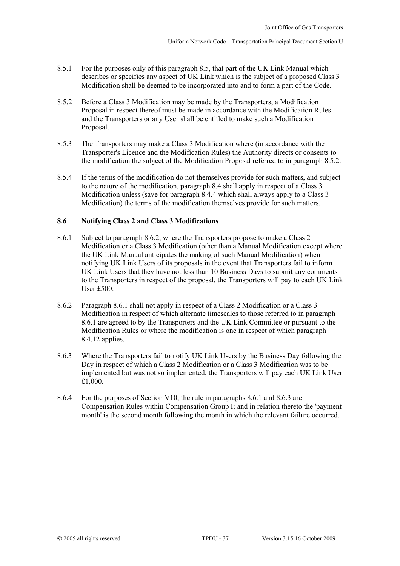- <span id="page-36-0"></span>8.5.1 For the purposes only of this paragraph 8.5, that part of the UK Link Manual which describes or specifies any aspect of UK Link which is the subject of a proposed Class 3 Modification shall be deemed to be incorporated into and to form a part of the Code.
- <span id="page-36-1"></span>8.5.2 Before a Class 3 Modification may be made by the Transporters, a Modification Proposal in respect thereof must be made in accordance with the Modification Rules and the Transporters or any User shall be entitled to make such a Modification Proposal.
- 8.5.3 The Transporters may make a Class 3 Modification where (in accordance with the Transporter's Licence and the Modification Rules) the Authority directs or consents to the modification the subject of the Modification Proposal referred to in paragraph [8.5.2.](#page-36-1)
- 8.5.4 If the terms of the modification do not themselves provide for such matters, and subject to the nature of the modification, paragraph [8.4](#page-33-0) shall apply in respect of a Class 3 Modification unless (save for paragraph 8.4.4 which shall always apply to a Class 3 Modification) the terms of the modification themselves provide for such matters.

### **8.6 Notifying Class 2 and Class 3 Modifications**

- <span id="page-36-3"></span><span id="page-36-2"></span>8.6.1 Subject to paragraph 8.6.2, where the Transporters propose to make a Class 2 Modification or a Class 3 Modification (other than a Manual Modification except where the UK Link Manual anticipates the making of such Manual Modification) when notifying UK Link Users of its proposals in the event that Transporters fail to inform UK Link Users that they have not less than 10 Business Days to submit any comments to the Transporters in respect of the proposal, the Transporters will pay to each UK Link User £500.
- 8.6.2 Paragraph [8.6.1](#page-36-2) shall not apply in respect of a Class 2 Modification or a Class 3 Modification in respect of which alternate timescales to those referred to in paragraph [8.6.1](#page-36-3) are agreed to by the Transporters and the UK Link Committee or pursuant to the Modification Rules or where the modification is one in respect of which paragraph [8.4.12](#page-35-1) applies.
- 8.6.3 Where the Transporters fail to notify UK Link Users by the Business Day following the Day in respect of which a Class 2 Modification or a Class 3 Modification was to be implemented but was not so implemented, the Transporters will pay each UK Link User £1,000.
- 8.6.4 For the purposes of Section V10, the rule in paragraphs 8.6.1 and 8.6.3 are Compensation Rules within Compensation Group I; and in relation thereto the 'payment month' is the second month following the month in which the relevant failure occurred.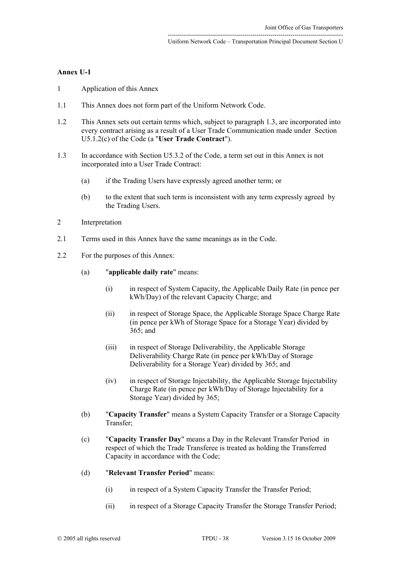## <span id="page-37-0"></span>**Annex U-1**

- 1 Application of this Annex
- 1.1 This Annex does not form part of the Uniform Network Code.
- 1.2 This Annex sets out certain terms which, subject to paragraph [1.3,](#page-37-1) are incorporated into every contract arising as a result of a User Trade Communication made under Section [U5.1.2\(c\) o](#page-18-2)f the Code (a "**User Trade Contract**").
- <span id="page-37-1"></span>1.3 In accordance with Section [U5.3.2](#page-19-3) of the Code, a term set out in this Annex is not incorporated into a User Trade Contract:
	- (a) if the Trading Users have expressly agreed another term; or
	- (b) to the extent that such term is inconsistent with any term expressly agreed by the Trading Users.
- 2 Interpretation
- 2.1 Terms used in this Annex have the same meanings as in the Code.
- 2.2 For the purposes of this Annex:
	- (a) "**applicable daily rate**" means:
		- (i) in respect of System Capacity, the Applicable Daily Rate (in pence per kWh/Day) of the relevant Capacity Charge; and
		- (ii) in respect of Storage Space, the Applicable Storage Space Charge Rate (in pence per kWh of Storage Space for a Storage Year) divided by 365; and
		- (iii) in respect of Storage Deliverability, the Applicable Storage Deliverability Charge Rate (in pence per kWh/Day of Storage Deliverability for a Storage Year) divided by 365; and
		- (iv) in respect of Storage Injectability, the Applicable Storage Injectability Charge Rate (in pence per kWh/Day of Storage Injectability for a Storage Year) divided by 365;
	- (b) "**Capacity Transfer**" means a System Capacity Transfer or a Storage Capacity Transfer;
	- (c) "**Capacity Transfer Day**" means a Day in the Relevant Transfer Period in respect of which the Trade Transferee is treated as holding the Transferred Capacity in accordance with the Code;
	- (d) "**Relevant Transfer Period**" means:
		- (i) in respect of a System Capacity Transfer the Transfer Period;
		- (ii) in respect of a Storage Capacity Transfer the Storage Transfer Period;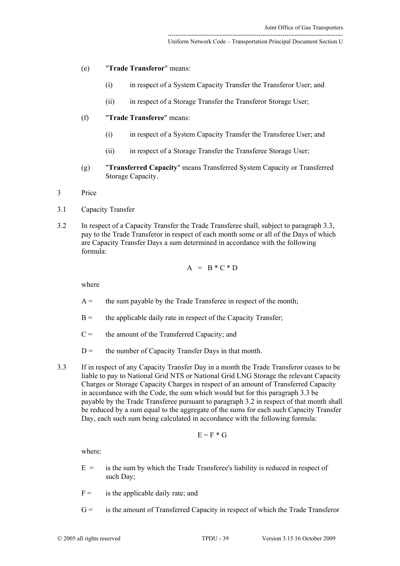- (e) "**Trade Transferor**" means:
	- (i) in respect of a System Capacity Transfer the Transferor User; and
	- (ii) in respect of a Storage Transfer the Transferor Storage User;
- (f) "**Trade Transferee**" means:
	- (i) in respect of a System Capacity Transfer the Transferee User; and
	- (ii) in respect of a Storage Transfer the Transferee Storage User;
- (g) "**Transferred Capacity**" means Transferred System Capacity or Transferred Storage Capacity.
- 3 Price
- 3.1 Capacity Transfer
- <span id="page-38-1"></span>3.2 In respect of a Capacity Transfer the Trade Transferee shall, subject to paragraph [3.3,](#page-38-0) pay to the Trade Transferor in respect of each month some or all of the Days of which are Capacity Transfer Days a sum determined in accordance with the following formula:

$$
A = B * C * D
$$

where

- $A =$  the sum payable by the Trade Transferee in respect of the month;
- $B =$  the applicable daily rate in respect of the Capacity Transfer;
- $C =$  the amount of the Transferred Capacity; and
- <span id="page-38-0"></span> $D =$  the number of Capacity Transfer Days in that month.
- 3.3 If in respect of any Capacity Transfer Day in a month the Trade Transferor ceases to be liable to pay to National Grid NTS or National Grid LNG Storage the relevant Capacity Charges or Storage Capacity Charges in respect of an amount of Transferred Capacity in accordance with the Code, the sum which would but for this paragraph 3.3 be payable by the Trade Transferee pursuant to paragraph [3.2](#page-38-1) in respect of that month shall be reduced by a sum equal to the aggregate of the sums for each such Capacity Transfer Day, each such sum being calculated in accordance with the following formula:

$$
E=F\ast G
$$

where:

- $E =$  is the sum by which the Trade Transferee's liability is reduced in respect of such Day;
- $F =$  is the applicable daily rate; and
- G = is the amount of Transferred Capacity in respect of which the Trade Transferor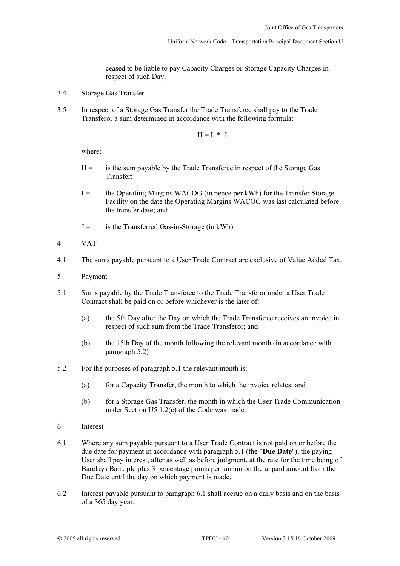ceased to be liable to pay Capacity Charges or Storage Capacity Charges in respect of such Day.

- 3.4 Storage Gas Transfer
- 3.5 In respect of a Storage Gas Transfer the Trade Transferee shall pay to the Trade Transferor a sum determined in accordance with the following formula:

$$
H = I * J
$$

where:

- $H =$  is the sum payable by the Trade Transferee in respect of the Storage Gas Transfer;
- I = the Operating Margins WACOG (in pence per kWh) for the Transfer Storage Facility on the date the Operating Margins WACOG was last calculated before the transfer date; and
- $J =$  is the Transferred Gas-in-Storage (in kWh).
- 4 VAT
- 4.1 The sums payable pursuant to a User Trade Contract are exclusive of Value Added Tax.
- 5 Payment
- <span id="page-39-1"></span>5.1 Sums payable by the Trade Transferee to the Trade Transferor under a User Trade Contract shall be paid on or before whichever is the later of:
	- (a) the 5th Day after the Day on which the Trade Transferee receives an invoice in respect of such sum from the Trade Transferor; and
	- (b) the 15th Day of the month following the relevant month (in accordance with paragraph [5.2\)](#page-39-0)
- <span id="page-39-0"></span>5.2 For the purposes of paragraph [5.1](#page-39-1) the relevant month is:
	- (a) for a Capacity Transfer, the month to which the invoice relates; and
	- (b) for a Storage Gas Transfer, the month in which the User Trade Communication under Section [U5.1.2\(c\)](#page-18-2) of the Code was made.
- 6 Interest
- <span id="page-39-2"></span>6.1 Where any sum payable pursuant to a User Trade Contract is not paid on or before the due date for payment in accordance with paragraph [5.1](#page-39-1) (the "**Due Date**"), the paying User shall pay interest, after as well as before judgment, at the rate for the time being of Barclays Bank plc plus 3 percentage points per annum on the unpaid amount from the Due Date until the day on which payment is made.
- 6.2 Interest payable pursuant to paragraph [6.1](#page-39-2) shall accrue on a daily basis and on the basis of a 365 day year.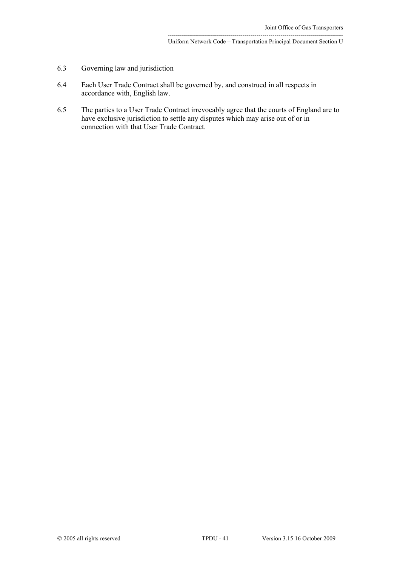---------------------------------------------------------------------------------------

- 6.3 Governing law and jurisdiction
- 6.4 Each User Trade Contract shall be governed by, and construed in all respects in accordance with, English law.
- 6.5 The parties to a User Trade Contract irrevocably agree that the courts of England are to have exclusive jurisdiction to settle any disputes which may arise out of or in connection with that User Trade Contract.